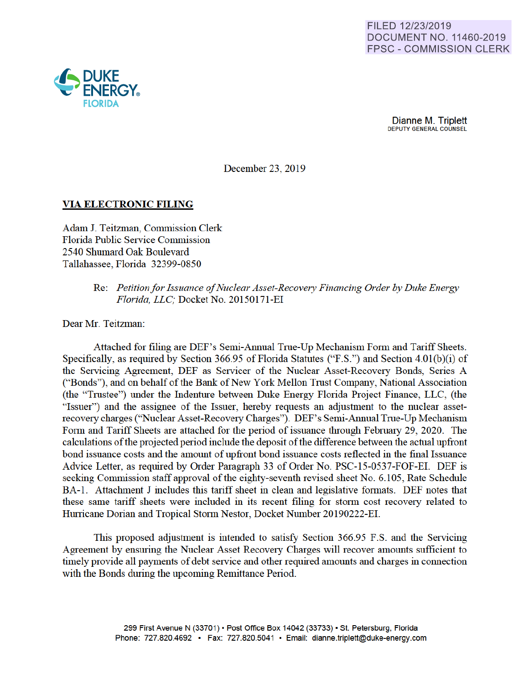

Dianne M. Triplett DEPUTY GENERAL COUNSEL

December 23, 2019

# **VIA ELECTRONIC FILING**

Adam J. Teitzman, Commission Clerk Florida Public Service Commission 2540 Shumard Oak Boulevard Tallahassee, Florida 32399-0850

> Re: *Petition for Issuance of Nuclear Asset-Recovery Financing Order by Duke Energy Florida, LLC;* Docket No. 20150171-EI

Dear Mr. Teitzman:

Attached for filing are DEF's Semi-Annual True-Up Mechanism Form and Tariff Sheets. Specifically, as required by Section 366.95 of Florida Statutes ("F.S.") and Section 4.01(b)(i) of the Servicing Agreement, DEF as Servicer of the Nuclear Asset-Recovery Bonds, Series A ("Bonds"), and on behalf of the Bank of New York Mellon Trnst Company National Association (the "Tmstee") under the Indenture between Duke Energy Florida Project Finance, LLC, (the "Issuer") and the assignee of the Issuer, hereby requests an adjustment to the nuclear assetrecovery charges ("Nuclear Asset-Recovery Charges"). DEF's Semi-Annual True-Up Mechanism Form and Tariff Sheets are attached for the period of issuance through February 29, 2020. The calculations of the projected period include the deposit of the difference between the actual upfront bond issuance costs and the amount of upfront bond issuance costs reflected in the final Issuance Advice Letter, as required by Order Paragraph 33 of Order No. PSC-15-0537-FOF-EI. DEF is seeking Commission staff approval of the eighty-seventh revised sheet No. 6.105, Rate Schedule BA-1. Attachment J includes this tariff sheet in clean and legislative formats. DEF notes that these same tariff sheets were included in its recent filing for storm cost recovery related to Hurricane Dorian and Tropical Storm Nestor, Docket Number 20190222-EI.

This proposed adjustment is intended to satisfy Section 366.95 F.S. and the Servicing Agreement by ensuring the Nuclear Asset Recovery Charges will recover amounts sufficient to timely provide all payments of debt service and other required amounts and charges in connection with the Bonds during the upcoming Remittance Period.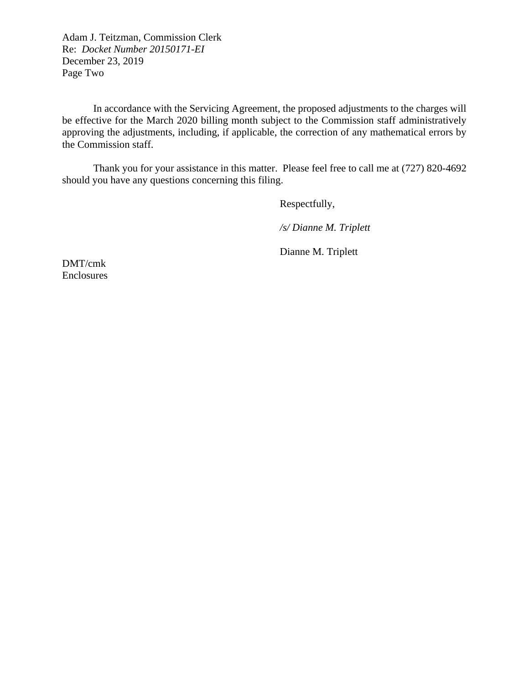Adam J. Teitzman, Commission Clerk Re: *Docket Number 20150171-EI* December 23, 2019 Page Two

In accordance with the Servicing Agreement, the proposed adjustments to the charges will be effective for the March 2020 billing month subject to the Commission staff administratively approving the adjustments, including, if applicable, the correction of any mathematical errors by the Commission staff.

Thank you for your assistance in this matter. Please feel free to call me at (727) 820-4692 should you have any questions concerning this filing.

Respectfully,

*/s/ Dianne M. Triplett*

Dianne M. Triplett

DMT/cmk Enclosures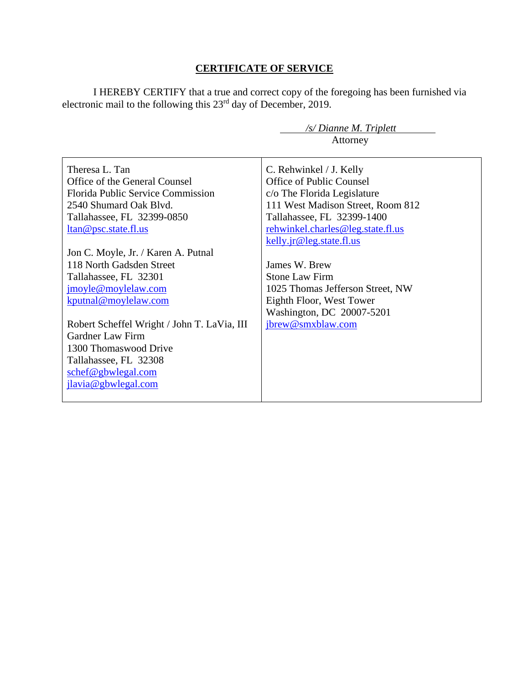# **CERTIFICATE OF SERVICE**

I HEREBY CERTIFY that a true and correct copy of the foregoing has been furnished via electronic mail to the following this 23<sup>rd</sup> day of December, 2019.

 */s/ Dianne M. Triplett*

|                                                                                                                                                                                                                                                                                                                        | Attorney                                                                                                                                                                                                                                                                                                                                                             |
|------------------------------------------------------------------------------------------------------------------------------------------------------------------------------------------------------------------------------------------------------------------------------------------------------------------------|----------------------------------------------------------------------------------------------------------------------------------------------------------------------------------------------------------------------------------------------------------------------------------------------------------------------------------------------------------------------|
| Theresa L. Tan<br>Office of the General Counsel<br>Florida Public Service Commission<br>2540 Shumard Oak Blvd.<br>Tallahassee, FL 32399-0850<br><u>ltan@psc.state.fl.us</u><br>Jon C. Moyle, Jr. / Karen A. Putnal<br>118 North Gadsden Street<br>Tallahassee, FL 32301<br>jmoyle@moylelaw.com<br>kputnal@moylelaw.com | C. Rehwinkel / J. Kelly<br><b>Office of Public Counsel</b><br>c/o The Florida Legislature<br>111 West Madison Street, Room 812<br>Tallahassee, FL 32399-1400<br>rehwinkel.charles@leg.state.fl.us<br>kelly.jr@leg.state.fl.us<br>James W. Brew<br><b>Stone Law Firm</b><br>1025 Thomas Jefferson Street, NW<br>Eighth Floor, West Tower<br>Washington, DC 20007-5201 |
| Robert Scheffel Wright / John T. LaVia, III<br><b>Gardner Law Firm</b><br>1300 Thomaswood Drive<br>Tallahassee, FL 32308<br>schef@gbwlegal.com<br>jlavia@gbwlegal.com                                                                                                                                                  | jbrew@smxblaw.com                                                                                                                                                                                                                                                                                                                                                    |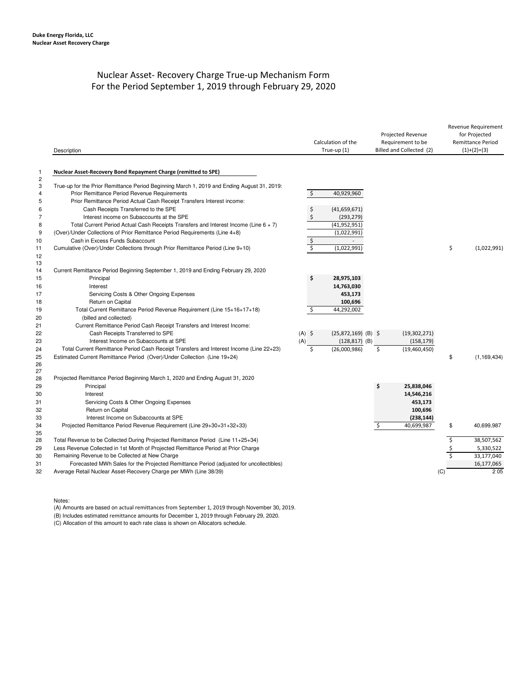# Nuclear Asset- Recovery Charge True-up Mechanism Form For the Period September 1, 2019 through February 29, 2020

|                                                                                        | Description                                                                                                                                                                                                                                                                                                                                                                                                                                                                                                                                                                                                | Calculation of the<br>True-up (1)                                                                                                                             | Projected Revenue<br>Requirement to be<br>Billed and Collected (2) |                             | Revenue Requirement<br>for Projected<br><b>Remittance Period</b><br>$(1)+(2)=(3)$ |  |
|----------------------------------------------------------------------------------------|------------------------------------------------------------------------------------------------------------------------------------------------------------------------------------------------------------------------------------------------------------------------------------------------------------------------------------------------------------------------------------------------------------------------------------------------------------------------------------------------------------------------------------------------------------------------------------------------------------|---------------------------------------------------------------------------------------------------------------------------------------------------------------|--------------------------------------------------------------------|-----------------------------|-----------------------------------------------------------------------------------|--|
| $\mathbf{1}$                                                                           | Nuclear Asset-Recovery Bond Repayment Charge (remitted to SPE)                                                                                                                                                                                                                                                                                                                                                                                                                                                                                                                                             |                                                                                                                                                               |                                                                    |                             |                                                                                   |  |
| $\overline{c}$<br>3<br>4<br>5<br>6<br>$\overline{7}$<br>8<br>9<br>10<br>11<br>12<br>13 | True-up for the Prior Remittance Period Beginning March 1, 2019 and Ending August 31, 2019:<br>Prior Remittance Period Revenue Requirements<br>Prior Remittance Period Actual Cash Receipt Transfers Interest income:<br>Cash Receipts Transferred to the SPE<br>Interest income on Subaccounts at the SPE<br>Total Current Period Actual Cash Receipts Transfers and Interest Income (Line $6 + 7$ )<br>(Over)/Under Collections of Prior Remittance Period Requirements (Line 4+8)<br>Cash in Excess Funds Subaccount<br>Cumulative (Over)/Under Collections through Prior Remittance Period (Line 9+10) | $\zeta$<br>40,929,960<br>\$<br>(41,659,671)<br>\$<br>(293, 279)<br>(41, 952, 951)<br>(1,022,991)<br>\$<br>\$<br>(1,022,991)                                   |                                                                    | \$                          | (1,022,991)                                                                       |  |
| 14<br>15<br>16<br>17<br>18<br>19<br>20<br>21<br>22<br>23<br>24                         | Current Remittance Period Beginning September 1, 2019 and Ending February 29, 2020<br>Principal<br>Interest<br>Servicing Costs & Other Ongoing Expenses<br>Return on Capital<br>Total Current Remittance Period Revenue Requirement (Line 15+16+17+18)<br>(billed and collected)<br>Current Remittance Period Cash Receipt Transfers and Interest Income:<br>Cash Receipts Transferred to SPE<br>Interest Income on Subaccounts at SPE                                                                                                                                                                     | \$<br>28,975,103<br>14,763,030<br>453,173<br>100,696<br>\$<br>44,292,002<br>$(A)$ \$<br>$(25,872,169)$ (B) \$<br>(A)<br>$(128, 817)$ (B)<br>Ś<br>(26.000.986) | (19,302,271)<br>(158, 179)<br>\$<br>(19,460,450)                   |                             |                                                                                   |  |
| 25<br>26<br>27<br>28<br>29<br>30<br>31<br>32<br>33                                     | Total Current Remittance Period Cash Receipt Transfers and Interest Income (Line 22+23)<br>Estimated Current Remittance Period (Over)/Under Collection (Line 19+24)<br>Projected Remittance Period Beginning March 1, 2020 and Ending August 31, 2020<br>Principal<br>Interest<br>Servicing Costs & Other Ongoing Expenses<br>Return on Capital<br>Interest Income on Subaccounts at SPE                                                                                                                                                                                                                   |                                                                                                                                                               | Ś<br>25,838,046<br>14,546,216<br>453,173<br>100,696<br>(238, 144)  | \$                          | (1, 169, 434)                                                                     |  |
| 34<br>35<br>28<br>29<br>30<br>31<br>32                                                 | Projected Remittance Period Revenue Requirement (Line 29+30+31+32+33)<br>Total Revenue to be Collected During Projected Remittance Period (Line 11+25+34)<br>Less Revenue Collected in 1st Month of Projected Remittance Period at Prior Charge<br>Remaining Revenue to be Collected at New Charge<br>Forecasted MWh Sales for the Projected Remittance Period (adjusted for uncollectibles)<br>Average Retail Nuclear Asset-Recovery Charge per MWh (Line 38/39)                                                                                                                                          |                                                                                                                                                               | Ŝ.<br>40.699.987                                                   | \$<br>\$<br>\$<br>\$<br>(C) | 40.699.987<br>38,507,562<br>5,330,522<br>33,177,040<br>16,177,065<br>205          |  |

Notes:

(A) Amounts are based on actual remittances from September 1, 2019 through November 30, 2019.

(B) Includes estimated remittance amounts for December 1, 2019 through February 29, 2020.

(C) Allocation of this amount to each rate class is shown on Allocators schedule.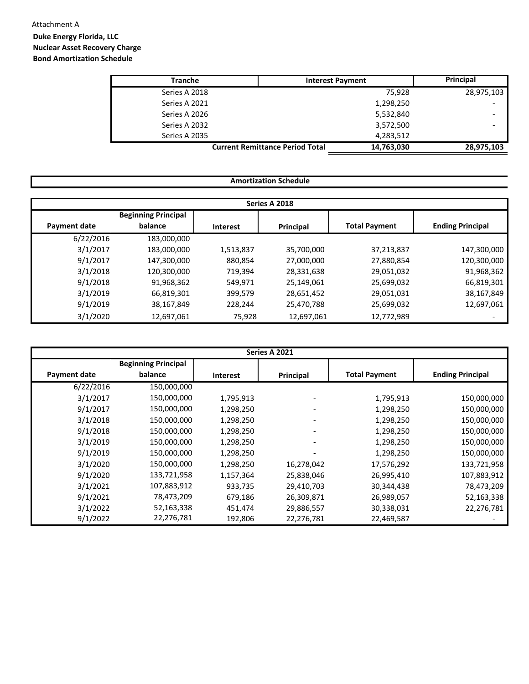# Attachment A

# **Duke Energy Florida, LLC Nuclear Asset Recovery Charge Bond Amortization Schedule**

| <b>Tranche</b> | <b>Interest Payment</b>                              | Principal  |
|----------------|------------------------------------------------------|------------|
| Series A 2018  | 75.928                                               | 28,975,103 |
| Series A 2021  | 1,298,250                                            |            |
| Series A 2026  | 5,532,840                                            |            |
| Series A 2032  | 3,572,500                                            |            |
| Series A 2035  | 4,283,512                                            |            |
|                | <b>Current Remittance Period Total</b><br>14,763,030 | 28,975,103 |

| Amortization Schedule |                                       |                 |            |                      |                         |  |  |  |  |
|-----------------------|---------------------------------------|-----------------|------------|----------------------|-------------------------|--|--|--|--|
| Series A 2018         |                                       |                 |            |                      |                         |  |  |  |  |
| Payment date          | <b>Beginning Principal</b><br>balance | <b>Interest</b> | Principal  | <b>Total Payment</b> | <b>Ending Principal</b> |  |  |  |  |
| 6/22/2016             | 183,000,000                           |                 |            |                      |                         |  |  |  |  |
| 3/1/2017              | 183,000,000                           | 1,513,837       | 35,700,000 | 37,213,837           | 147,300,000             |  |  |  |  |
| 9/1/2017              | 147,300,000                           | 880,854         | 27,000,000 | 27,880,854           | 120,300,000             |  |  |  |  |
| 3/1/2018              | 120,300,000                           | 719,394         | 28,331,638 | 29,051,032           | 91,968,362              |  |  |  |  |
| 9/1/2018              | 91,968,362                            | 549,971         | 25,149,061 | 25,699,032           | 66,819,301              |  |  |  |  |
| 3/1/2019              | 66,819,301                            | 399,579         | 28,651,452 | 29,051,031           | 38,167,849              |  |  |  |  |
| 9/1/2019              | 38,167,849                            | 228,244         | 25,470,788 | 25,699,032           | 12,697,061              |  |  |  |  |
| 3/1/2020              | 12,697,061                            | 75,928          | 12,697,061 | 12,772,989           |                         |  |  |  |  |

| Series A 2021 |                            |                 |                          |                      |                         |  |  |  |
|---------------|----------------------------|-----------------|--------------------------|----------------------|-------------------------|--|--|--|
|               | <b>Beginning Principal</b> |                 |                          |                      |                         |  |  |  |
| Payment date  | balance                    | <b>Interest</b> | Principal                | <b>Total Payment</b> | <b>Ending Principal</b> |  |  |  |
| 6/22/2016     | 150,000,000                |                 |                          |                      |                         |  |  |  |
| 3/1/2017      | 150,000,000                | 1,795,913       |                          | 1,795,913            | 150,000,000             |  |  |  |
| 9/1/2017      | 150,000,000                | 1,298,250       |                          | 1,298,250            | 150,000,000             |  |  |  |
| 3/1/2018      | 150,000,000                | 1,298,250       | $\overline{\phantom{a}}$ | 1,298,250            | 150,000,000             |  |  |  |
| 9/1/2018      | 150,000,000                | 1,298,250       |                          | 1,298,250            | 150,000,000             |  |  |  |
| 3/1/2019      | 150,000,000                | 1,298,250       |                          | 1,298,250            | 150,000,000             |  |  |  |
| 9/1/2019      | 150,000,000                | 1,298,250       |                          | 1,298,250            | 150,000,000             |  |  |  |
| 3/1/2020      | 150,000,000                | 1,298,250       | 16,278,042               | 17,576,292           | 133,721,958             |  |  |  |
| 9/1/2020      | 133,721,958                | 1,157,364       | 25,838,046               | 26,995,410           | 107,883,912             |  |  |  |
| 3/1/2021      | 107,883,912                | 933,735         | 29,410,703               | 30,344,438           | 78,473,209              |  |  |  |
| 9/1/2021      | 78,473,209                 | 679,186         | 26,309,871               | 26,989,057           | 52,163,338              |  |  |  |
| 3/1/2022      | 52,163,338                 | 451,474         | 29,886,557               | 30,338,031           | 22,276,781              |  |  |  |
| 9/1/2022      | 22,276,781                 | 192,806         | 22,276,781               | 22,469,587           |                         |  |  |  |

# **Amortization Schedule**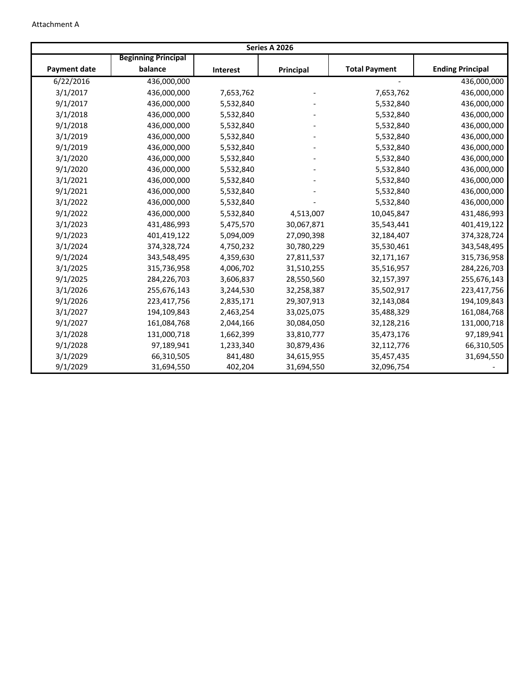| Series A 2026       |                            |                 |            |                      |                         |  |  |  |
|---------------------|----------------------------|-----------------|------------|----------------------|-------------------------|--|--|--|
|                     | <b>Beginning Principal</b> |                 |            |                      |                         |  |  |  |
| <b>Payment date</b> | balance                    | <b>Interest</b> | Principal  | <b>Total Payment</b> | <b>Ending Principal</b> |  |  |  |
| 6/22/2016           | 436,000,000                |                 |            |                      | 436,000,000             |  |  |  |
| 3/1/2017            | 436,000,000                | 7,653,762       |            | 7,653,762            | 436,000,000             |  |  |  |
| 9/1/2017            | 436,000,000                | 5,532,840       |            | 5,532,840            | 436,000,000             |  |  |  |
| 3/1/2018            | 436,000,000                | 5,532,840       |            | 5,532,840            | 436,000,000             |  |  |  |
| 9/1/2018            | 436,000,000                | 5,532,840       |            | 5,532,840            | 436,000,000             |  |  |  |
| 3/1/2019            | 436,000,000                | 5,532,840       |            | 5,532,840            | 436,000,000             |  |  |  |
| 9/1/2019            | 436,000,000                | 5,532,840       |            | 5,532,840            | 436,000,000             |  |  |  |
| 3/1/2020            | 436,000,000                | 5,532,840       |            | 5,532,840            | 436,000,000             |  |  |  |
| 9/1/2020            | 436,000,000                | 5,532,840       |            | 5,532,840            | 436,000,000             |  |  |  |
| 3/1/2021            | 436,000,000                | 5,532,840       |            | 5,532,840            | 436,000,000             |  |  |  |
| 9/1/2021            | 436,000,000                | 5,532,840       |            | 5,532,840            | 436,000,000             |  |  |  |
| 3/1/2022            | 436,000,000                | 5,532,840       |            | 5,532,840            | 436,000,000             |  |  |  |
| 9/1/2022            | 436,000,000                | 5,532,840       | 4,513,007  | 10,045,847           | 431,486,993             |  |  |  |
| 3/1/2023            | 431,486,993                | 5,475,570       | 30,067,871 | 35,543,441           | 401,419,122             |  |  |  |
| 9/1/2023            | 401,419,122                | 5,094,009       | 27,090,398 | 32,184,407           | 374,328,724             |  |  |  |
| 3/1/2024            | 374,328,724                | 4,750,232       | 30,780,229 | 35,530,461           | 343,548,495             |  |  |  |
| 9/1/2024            | 343,548,495                | 4,359,630       | 27,811,537 | 32,171,167           | 315,736,958             |  |  |  |
| 3/1/2025            | 315,736,958                | 4,006,702       | 31,510,255 | 35,516,957           | 284,226,703             |  |  |  |
| 9/1/2025            | 284,226,703                | 3,606,837       | 28,550,560 | 32,157,397           | 255,676,143             |  |  |  |
| 3/1/2026            | 255,676,143                | 3,244,530       | 32,258,387 | 35,502,917           | 223,417,756             |  |  |  |
| 9/1/2026            | 223,417,756                | 2,835,171       | 29,307,913 | 32,143,084           | 194,109,843             |  |  |  |
| 3/1/2027            | 194,109,843                | 2,463,254       | 33,025,075 | 35,488,329           | 161,084,768             |  |  |  |
| 9/1/2027            | 161,084,768                | 2,044,166       | 30,084,050 | 32,128,216           | 131,000,718             |  |  |  |
| 3/1/2028            | 131,000,718                | 1,662,399       | 33,810,777 | 35,473,176           | 97,189,941              |  |  |  |
| 9/1/2028            | 97,189,941                 | 1,233,340       | 30,879,436 | 32,112,776           | 66,310,505              |  |  |  |
| 3/1/2029            | 66,310,505                 | 841,480         | 34,615,955 | 35,457,435           | 31,694,550              |  |  |  |
| 9/1/2029            | 31,694,550                 | 402,204         | 31,694,550 | 32,096,754           |                         |  |  |  |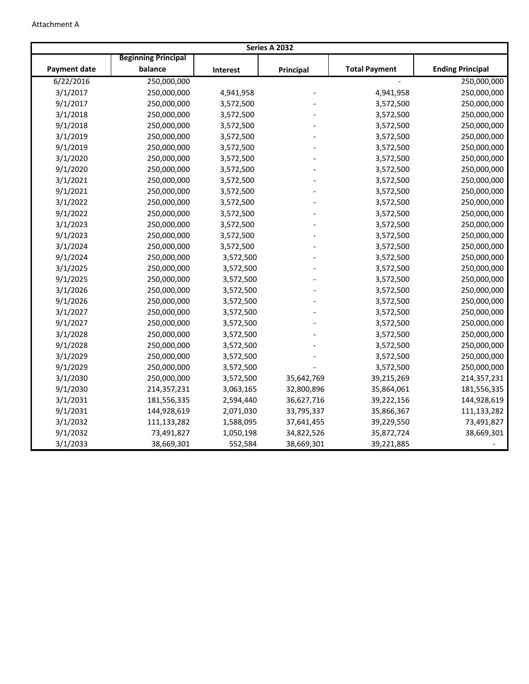| Series A 2032       |                            |           |            |                      |                         |  |  |  |  |
|---------------------|----------------------------|-----------|------------|----------------------|-------------------------|--|--|--|--|
|                     | <b>Beginning Principal</b> |           |            |                      |                         |  |  |  |  |
| <b>Payment date</b> | balance                    | Interest  | Principal  | <b>Total Payment</b> | <b>Ending Principal</b> |  |  |  |  |
| 6/22/2016           | 250,000,000                |           |            |                      | 250,000,000             |  |  |  |  |
| 3/1/2017            | 250,000,000                | 4,941,958 |            | 4,941,958            | 250,000,000             |  |  |  |  |
| 9/1/2017            | 250,000,000                | 3,572,500 |            | 3,572,500            | 250,000,000             |  |  |  |  |
| 3/1/2018            | 250,000,000                | 3,572,500 |            | 3,572,500            | 250,000,000             |  |  |  |  |
| 9/1/2018            | 250,000,000                | 3,572,500 |            | 3,572,500            | 250,000,000             |  |  |  |  |
| 3/1/2019            | 250,000,000                | 3,572,500 |            | 3,572,500            | 250,000,000             |  |  |  |  |
| 9/1/2019            | 250,000,000                | 3,572,500 |            | 3,572,500            | 250,000,000             |  |  |  |  |
| 3/1/2020            | 250,000,000                | 3,572,500 |            | 3,572,500            | 250,000,000             |  |  |  |  |
| 9/1/2020            | 250,000,000                | 3,572,500 |            | 3,572,500            | 250,000,000             |  |  |  |  |
| 3/1/2021            | 250,000,000                | 3,572,500 |            | 3,572,500            | 250,000,000             |  |  |  |  |
| 9/1/2021            | 250,000,000                | 3,572,500 |            | 3,572,500            | 250,000,000             |  |  |  |  |
| 3/1/2022            | 250,000,000                | 3,572,500 |            | 3,572,500            | 250,000,000             |  |  |  |  |
| 9/1/2022            | 250,000,000                | 3,572,500 |            | 3,572,500            | 250,000,000             |  |  |  |  |
| 3/1/2023            | 250,000,000                | 3,572,500 |            | 3,572,500            | 250,000,000             |  |  |  |  |
| 9/1/2023            | 250,000,000                | 3,572,500 |            | 3,572,500            | 250,000,000             |  |  |  |  |
| 3/1/2024            | 250,000,000                | 3,572,500 |            | 3,572,500            | 250,000,000             |  |  |  |  |
| 9/1/2024            | 250,000,000                | 3,572,500 |            | 3,572,500            | 250,000,000             |  |  |  |  |
| 3/1/2025            | 250,000,000                | 3,572,500 |            | 3,572,500            | 250,000,000             |  |  |  |  |
| 9/1/2025            | 250,000,000                | 3,572,500 |            | 3,572,500            | 250,000,000             |  |  |  |  |
| 3/1/2026            | 250,000,000                | 3,572,500 |            | 3,572,500            | 250,000,000             |  |  |  |  |
| 9/1/2026            | 250,000,000                | 3,572,500 |            | 3,572,500            | 250,000,000             |  |  |  |  |
| 3/1/2027            | 250,000,000                | 3,572,500 |            | 3,572,500            | 250,000,000             |  |  |  |  |
| 9/1/2027            | 250,000,000                | 3,572,500 |            | 3,572,500            | 250,000,000             |  |  |  |  |
| 3/1/2028            | 250,000,000                | 3,572,500 |            | 3,572,500            | 250,000,000             |  |  |  |  |
| 9/1/2028            | 250,000,000                | 3,572,500 |            | 3,572,500            | 250,000,000             |  |  |  |  |
| 3/1/2029            | 250,000,000                | 3,572,500 |            | 3,572,500            | 250,000,000             |  |  |  |  |
| 9/1/2029            | 250,000,000                | 3,572,500 |            | 3,572,500            | 250,000,000             |  |  |  |  |
| 3/1/2030            | 250,000,000                | 3,572,500 | 35,642,769 | 39,215,269           | 214,357,231             |  |  |  |  |
| 9/1/2030            | 214,357,231                | 3,063,165 | 32,800,896 | 35,864,061           | 181,556,335             |  |  |  |  |
| 3/1/2031            | 181,556,335                | 2,594,440 | 36,627,716 | 39,222,156           | 144,928,619             |  |  |  |  |
| 9/1/2031            | 144,928,619                | 2,071,030 | 33,795,337 | 35,866,367           | 111,133,282             |  |  |  |  |
| 3/1/2032            | 111,133,282                | 1,588,095 | 37,641,455 | 39,229,550           | 73,491,827              |  |  |  |  |
| 9/1/2032            | 73,491,827                 | 1,050,198 | 34,822,526 | 35,872,724           | 38,669,301              |  |  |  |  |
| 3/1/2033            | 38,669,301                 | 552,584   | 38,669,301 | 39,221,885           |                         |  |  |  |  |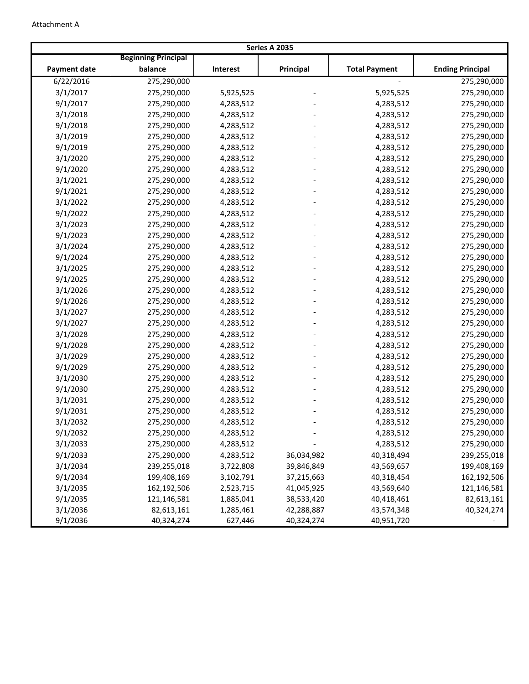| Series A 2035       |                            |           |            |                      |                         |  |  |
|---------------------|----------------------------|-----------|------------|----------------------|-------------------------|--|--|
|                     | <b>Beginning Principal</b> |           |            |                      |                         |  |  |
| <b>Payment date</b> | balance                    | Interest  | Principal  | <b>Total Payment</b> | <b>Ending Principal</b> |  |  |
| 6/22/2016           | 275,290,000                |           |            |                      | 275,290,000             |  |  |
| 3/1/2017            | 275,290,000                | 5,925,525 |            | 5,925,525            | 275,290,000             |  |  |
| 9/1/2017            | 275,290,000                | 4,283,512 |            | 4,283,512            | 275,290,000             |  |  |
| 3/1/2018            | 275,290,000                | 4,283,512 |            | 4,283,512            | 275,290,000             |  |  |
| 9/1/2018            | 275,290,000                | 4,283,512 |            | 4,283,512            | 275,290,000             |  |  |
| 3/1/2019            | 275,290,000                | 4,283,512 |            | 4,283,512            | 275,290,000             |  |  |
| 9/1/2019            | 275,290,000                | 4,283,512 |            | 4,283,512            | 275,290,000             |  |  |
| 3/1/2020            | 275,290,000                | 4,283,512 |            | 4,283,512            | 275,290,000             |  |  |
| 9/1/2020            | 275,290,000                | 4,283,512 |            | 4,283,512            | 275,290,000             |  |  |
| 3/1/2021            | 275,290,000                | 4,283,512 |            | 4,283,512            | 275,290,000             |  |  |
| 9/1/2021            | 275,290,000                | 4,283,512 |            | 4,283,512            | 275,290,000             |  |  |
| 3/1/2022            | 275,290,000                | 4,283,512 |            | 4,283,512            | 275,290,000             |  |  |
| 9/1/2022            | 275,290,000                | 4,283,512 |            | 4,283,512            | 275,290,000             |  |  |
| 3/1/2023            | 275,290,000                | 4,283,512 |            | 4,283,512            | 275,290,000             |  |  |
| 9/1/2023            | 275,290,000                | 4,283,512 |            | 4,283,512            | 275,290,000             |  |  |
| 3/1/2024            | 275,290,000                | 4,283,512 |            | 4,283,512            | 275,290,000             |  |  |
| 9/1/2024            | 275,290,000                | 4,283,512 |            | 4,283,512            | 275,290,000             |  |  |
| 3/1/2025            | 275,290,000                | 4,283,512 |            | 4,283,512            | 275,290,000             |  |  |
| 9/1/2025            | 275,290,000                | 4,283,512 |            | 4,283,512            | 275,290,000             |  |  |
| 3/1/2026            | 275,290,000                | 4,283,512 |            | 4,283,512            | 275,290,000             |  |  |
| 9/1/2026            | 275,290,000                | 4,283,512 |            | 4,283,512            | 275,290,000             |  |  |
| 3/1/2027            | 275,290,000                | 4,283,512 |            | 4,283,512            | 275,290,000             |  |  |
| 9/1/2027            | 275,290,000                | 4,283,512 |            | 4,283,512            | 275,290,000             |  |  |
| 3/1/2028            | 275,290,000                | 4,283,512 |            | 4,283,512            | 275,290,000             |  |  |
| 9/1/2028            | 275,290,000                | 4,283,512 |            | 4,283,512            | 275,290,000             |  |  |
| 3/1/2029            | 275,290,000                | 4,283,512 |            | 4,283,512            | 275,290,000             |  |  |
| 9/1/2029            | 275,290,000                | 4,283,512 |            | 4,283,512            | 275,290,000             |  |  |
| 3/1/2030            | 275,290,000                | 4,283,512 |            | 4,283,512            | 275,290,000             |  |  |
| 9/1/2030            | 275,290,000                | 4,283,512 |            | 4,283,512            | 275,290,000             |  |  |
| 3/1/2031            | 275,290,000                | 4,283,512 |            | 4,283,512            | 275,290,000             |  |  |
| 9/1/2031            | 275,290,000                | 4,283,512 |            | 4,283,512            | 275,290,000             |  |  |
| 3/1/2032            | 275,290,000                | 4,283,512 |            | 4,283,512            | 275,290,000             |  |  |
| 9/1/2032            | 275,290,000                | 4,283,512 |            | 4,283,512            | 275,290,000             |  |  |
| 3/1/2033            | 275,290,000                | 4,283,512 |            | 4,283,512            | 275,290,000             |  |  |
| 9/1/2033            | 275,290,000                | 4,283,512 | 36,034,982 | 40,318,494           | 239,255,018             |  |  |
| 3/1/2034            | 239,255,018                | 3,722,808 | 39,846,849 | 43,569,657           | 199,408,169             |  |  |
| 9/1/2034            | 199,408,169                | 3,102,791 | 37,215,663 | 40,318,454           | 162,192,506             |  |  |
| 3/1/2035            | 162,192,506                | 2,523,715 | 41,045,925 | 43,569,640           | 121,146,581             |  |  |
| 9/1/2035            | 121,146,581                | 1,885,041 | 38,533,420 | 40,418,461           | 82,613,161              |  |  |
| 3/1/2036            | 82,613,161                 | 1,285,461 | 42,288,887 | 43,574,348           | 40,324,274              |  |  |
| 9/1/2036            | 40,324,274                 | 627,446   | 40,324,274 | 40,951,720           |                         |  |  |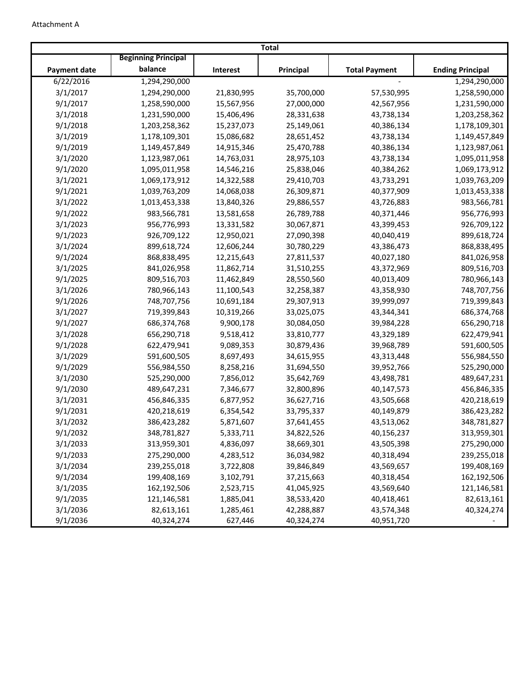|                     |                            |            | <b>Total</b> |                      |                         |
|---------------------|----------------------------|------------|--------------|----------------------|-------------------------|
|                     | <b>Beginning Principal</b> |            |              |                      |                         |
| <b>Payment date</b> | balance                    | Interest   | Principal    | <b>Total Payment</b> | <b>Ending Principal</b> |
| 6/22/2016           | 1,294,290,000              |            |              |                      | 1,294,290,000           |
| 3/1/2017            | 1,294,290,000              | 21,830,995 | 35,700,000   | 57,530,995           | 1,258,590,000           |
| 9/1/2017            | 1,258,590,000              | 15,567,956 | 27,000,000   | 42,567,956           | 1,231,590,000           |
| 3/1/2018            | 1,231,590,000              | 15,406,496 | 28,331,638   | 43,738,134           | 1,203,258,362           |
| 9/1/2018            | 1,203,258,362              | 15,237,073 | 25,149,061   | 40,386,134           | 1,178,109,301           |
| 3/1/2019            | 1,178,109,301              | 15,086,682 | 28,651,452   | 43,738,134           | 1,149,457,849           |
| 9/1/2019            | 1,149,457,849              | 14,915,346 | 25,470,788   | 40,386,134           | 1,123,987,061           |
| 3/1/2020            | 1,123,987,061              | 14,763,031 | 28,975,103   | 43,738,134           | 1,095,011,958           |
| 9/1/2020            | 1,095,011,958              | 14,546,216 | 25,838,046   | 40,384,262           | 1,069,173,912           |
| 3/1/2021            | 1,069,173,912              | 14,322,588 | 29,410,703   | 43,733,291           | 1,039,763,209           |
| 9/1/2021            | 1,039,763,209              | 14,068,038 | 26,309,871   | 40,377,909           | 1,013,453,338           |
| 3/1/2022            | 1,013,453,338              | 13,840,326 | 29,886,557   | 43,726,883           | 983,566,781             |
| 9/1/2022            | 983,566,781                | 13,581,658 | 26,789,788   | 40,371,446           | 956,776,993             |
| 3/1/2023            | 956,776,993                | 13,331,582 | 30,067,871   | 43,399,453           | 926,709,122             |
| 9/1/2023            | 926,709,122                | 12,950,021 | 27,090,398   | 40,040,419           | 899,618,724             |
| 3/1/2024            | 899,618,724                | 12,606,244 | 30,780,229   | 43,386,473           | 868,838,495             |
| 9/1/2024            | 868,838,495                | 12,215,643 | 27,811,537   | 40,027,180           | 841,026,958             |
| 3/1/2025            | 841,026,958                | 11,862,714 | 31,510,255   | 43,372,969           | 809,516,703             |
| 9/1/2025            | 809,516,703                | 11,462,849 | 28,550,560   | 40,013,409           | 780,966,143             |
| 3/1/2026            | 780,966,143                | 11,100,543 | 32,258,387   | 43,358,930           | 748,707,756             |
| 9/1/2026            | 748,707,756                | 10,691,184 | 29,307,913   | 39,999,097           | 719,399,843             |
| 3/1/2027            | 719,399,843                | 10,319,266 | 33,025,075   | 43,344,341           | 686,374,768             |
| 9/1/2027            | 686,374,768                | 9,900,178  | 30,084,050   | 39,984,228           | 656,290,718             |
| 3/1/2028            | 656,290,718                | 9,518,412  | 33,810,777   | 43,329,189           | 622,479,941             |
| 9/1/2028            | 622,479,941                | 9,089,353  | 30,879,436   | 39,968,789           | 591,600,505             |
| 3/1/2029            | 591,600,505                | 8,697,493  | 34,615,955   | 43,313,448           | 556,984,550             |
| 9/1/2029            | 556,984,550                | 8,258,216  | 31,694,550   | 39,952,766           | 525,290,000             |
| 3/1/2030            | 525,290,000                | 7,856,012  | 35,642,769   | 43,498,781           | 489,647,231             |
| 9/1/2030            | 489,647,231                | 7,346,677  | 32,800,896   | 40,147,573           | 456,846,335             |
| 3/1/2031            | 456,846,335                | 6,877,952  | 36,627,716   | 43,505,668           | 420,218,619             |
| 9/1/2031            | 420,218,619                | 6,354,542  | 33,795,337   | 40,149,879           | 386,423,282             |
| 3/1/2032            | 386,423,282                | 5,871,607  | 37,641,455   | 43,513,062           | 348,781,827             |
| 9/1/2032            | 348,781,827                | 5,333,711  | 34,822,526   | 40,156,237           | 313,959,301             |
| 3/1/2033            | 313,959,301                | 4,836,097  | 38,669,301   | 43,505,398           | 275,290,000             |
| 9/1/2033            | 275,290,000                | 4,283,512  | 36,034,982   | 40,318,494           | 239,255,018             |
| 3/1/2034            | 239,255,018                | 3,722,808  | 39,846,849   | 43,569,657           | 199,408,169             |
| 9/1/2034            | 199,408,169                | 3,102,791  | 37,215,663   | 40,318,454           | 162,192,506             |
| 3/1/2035            | 162,192,506                | 2,523,715  | 41,045,925   | 43,569,640           | 121,146,581             |
| 9/1/2035            | 121,146,581                | 1,885,041  | 38,533,420   | 40,418,461           | 82,613,161              |
| 3/1/2036            | 82,613,161                 | 1,285,461  | 42,288,887   | 43,574,348           | 40,324,274              |
| 9/1/2036            | 40,324,274                 | 627,446    | 40,324,274   | 40,951,720           |                         |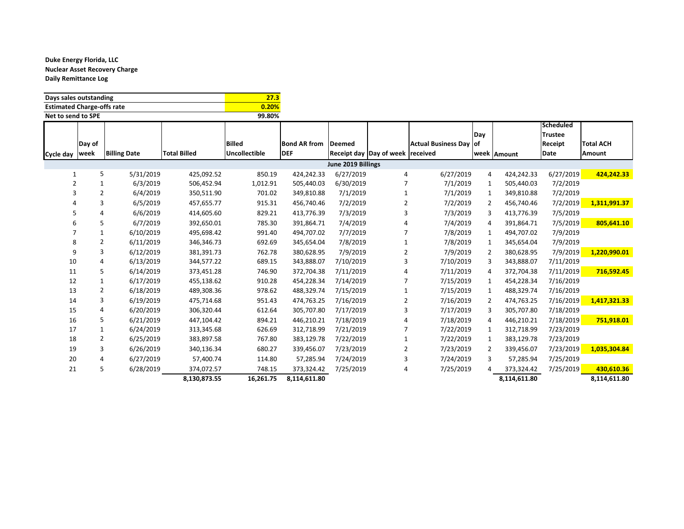| Days sales outstanding            | 27.3   |
|-----------------------------------|--------|
| <b>Estimated Charge-offs rate</b> | 0.20%  |
| Net to send to SPE                | 99.80% |

|           |                |                     |                     |                      |                     |                    |                                     |                        |              |              | Scheduled                 |                  |
|-----------|----------------|---------------------|---------------------|----------------------|---------------------|--------------------|-------------------------------------|------------------------|--------------|--------------|---------------------------|------------------|
|           | Day of         |                     |                     | <b>Billed</b>        | <b>Bond AR from</b> | <b>Deemed</b>      |                                     | Actual Business Day of | Day          |              | <b>Trustee</b><br>Receipt | <b>Total ACH</b> |
|           | week           | <b>Billing Date</b> | <b>Total Billed</b> | <b>Uncollectible</b> | <b>DEF</b>          |                    | Receipt day  Day of week   received |                        |              | week Amount  | Date                      | Amount           |
| Cycle day |                |                     |                     |                      |                     |                    |                                     |                        |              |              |                           |                  |
|           |                |                     |                     |                      |                     | June 2019 Billings |                                     |                        |              |              |                           |                  |
| 1         | 5              | 5/31/2019           | 425,092.52          | 850.19               | 424,242.33          | 6/27/2019          | 4                                   | 6/27/2019              | 4            | 424,242.33   | 6/27/2019                 | 424,242.33       |
| 2         |                | 6/3/2019            | 506,452.94          | 1,012.91             | 505,440.03          | 6/30/2019          |                                     | 7/1/2019               | 1            | 505,440.03   | 7/2/2019                  |                  |
| 3         | 2              | 6/4/2019            | 350,511.90          | 701.02               | 349,810.88          | 7/1/2019           |                                     | 7/1/2019               | $\mathbf{1}$ | 349,810.88   | 7/2/2019                  |                  |
|           | 3              | 6/5/2019            | 457,655.77          | 915.31               | 456,740.46          | 7/2/2019           | 2                                   | 7/2/2019               | 2            | 456,740.46   | 7/2/2019                  | 1,311,991.37     |
| 5         |                | 6/6/2019            | 414,605.60          | 829.21               | 413,776.39          | 7/3/2019           | 3                                   | 7/3/2019               | 3            | 413,776.39   | 7/5/2019                  |                  |
| 6         | 5              | 6/7/2019            | 392,650.01          | 785.30               | 391,864.71          | 7/4/2019           |                                     | 7/4/2019               | 4            | 391,864.71   | 7/5/2019                  | 805,641.10       |
|           |                | 6/10/2019           | 495,698.42          | 991.40               | 494,707.02          | 7/7/2019           |                                     | 7/8/2019               | $\mathbf{1}$ | 494,707.02   | 7/9/2019                  |                  |
| 8         | 2              | 6/11/2019           | 346,346.73          | 692.69               | 345,654.04          | 7/8/2019           |                                     | 7/8/2019               | $\mathbf{1}$ | 345,654.04   | 7/9/2019                  |                  |
| q         | 3              | 6/12/2019           | 381,391.73          | 762.78               | 380,628.95          | 7/9/2019           | 2                                   | 7/9/2019               | 2            | 380,628.95   | 7/9/2019                  | 1,220,990.01     |
| 10        | 4              | 6/13/2019           | 344,577.22          | 689.15               | 343,888.07          | 7/10/2019          | 3                                   | 7/10/2019              | 3            | 343,888.07   | 7/11/2019                 |                  |
| 11        | 5              | 6/14/2019           | 373,451.28          | 746.90               | 372,704.38          | 7/11/2019          |                                     | 7/11/2019              | 4            | 372,704.38   | 7/11/2019                 | 716,592.45       |
| 12        |                | 6/17/2019           | 455,138.62          | 910.28               | 454,228.34          | 7/14/2019          |                                     | 7/15/2019              | 1            | 454,228.34   | 7/16/2019                 |                  |
| 13        | 2              | 6/18/2019           | 489,308.36          | 978.62               | 488,329.74          | 7/15/2019          |                                     | 7/15/2019              | 1            | 488,329.74   | 7/16/2019                 |                  |
| 14        | 3              | 6/19/2019           | 475,714.68          | 951.43               | 474,763.25          | 7/16/2019          | 2                                   | 7/16/2019              | 2            | 474,763.25   | 7/16/2019                 | 1,417,321.33     |
| 15        | 4              | 6/20/2019           | 306,320.44          | 612.64               | 305,707.80          | 7/17/2019          | 3                                   | 7/17/2019              | 3            | 305,707.80   | 7/18/2019                 |                  |
| 16        | 5              | 6/21/2019           | 447,104.42          | 894.21               | 446,210.21          | 7/18/2019          | 4                                   | 7/18/2019              | 4            | 446,210.21   | 7/18/2019                 | 751,918.01       |
| 17        |                | 6/24/2019           | 313,345.68          | 626.69               | 312,718.99          | 7/21/2019          |                                     | 7/22/2019              | 1            | 312,718.99   | 7/23/2019                 |                  |
| 18        | $\overline{2}$ | 6/25/2019           | 383,897.58          | 767.80               | 383,129.78          | 7/22/2019          |                                     | 7/22/2019              | 1            | 383,129.78   | 7/23/2019                 |                  |
| 19        | 3              | 6/26/2019           | 340,136.34          | 680.27               | 339,456.07          | 7/23/2019          | 2                                   | 7/23/2019              | 2            | 339,456.07   | 7/23/2019                 | 1,035,304.84     |
| 20        |                | 6/27/2019           | 57,400.74           | 114.80               | 57,285.94           | 7/24/2019          | 3                                   | 7/24/2019              | 3            | 57,285.94    | 7/25/2019                 |                  |
| 21        | 5              | 6/28/2019           | 374,072.57          | 748.15               | 373,324.42          | 7/25/2019          | 4                                   | 7/25/2019              |              | 373,324.42   | 7/25/2019                 | 430,610.36       |
|           |                |                     | 8,130,873.55        | 16,261.75            | 8,114,611.80        |                    |                                     |                        |              | 8,114,611.80 |                           | 8,114,611.80     |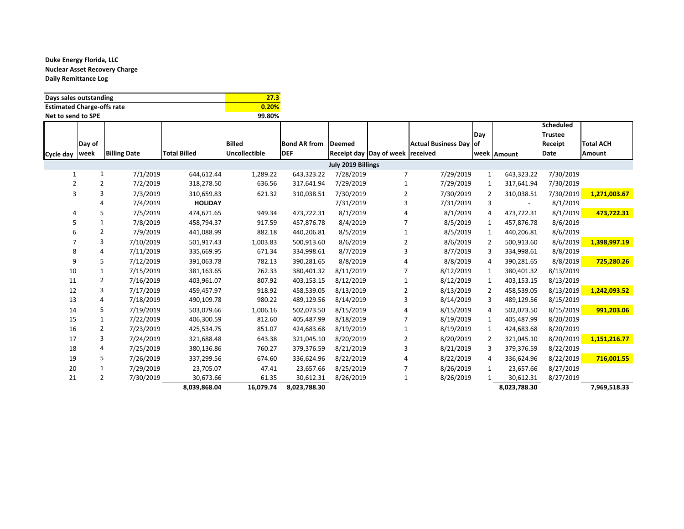| Days sales outstanding            | 27.3   |
|-----------------------------------|--------|
| <b>Estimated Charge-offs rate</b> | 0.20%  |
| Net to send to SPE                | 99.80% |

|                  |                |                     |                     |               |                     |                    |                                |                        |                |                          | <b>Scheduled</b> |                  |
|------------------|----------------|---------------------|---------------------|---------------|---------------------|--------------------|--------------------------------|------------------------|----------------|--------------------------|------------------|------------------|
|                  |                |                     |                     |               |                     |                    |                                |                        | Day            |                          | <b>Trustee</b>   |                  |
|                  | Day of         |                     |                     | <b>Billed</b> | <b>Bond AR from</b> | Deemed             |                                | Actual Business Day of |                |                          | Receipt          | <b>Total ACH</b> |
| Cycle day   week |                | <b>Billing Date</b> | <b>Total Billed</b> | Uncollectible | <b>DEF</b>          |                    | <b>Receipt day Day of week</b> | received               |                | week Amount              | Date             | Amount           |
|                  |                |                     |                     |               |                     | July 2019 Billings |                                |                        |                |                          |                  |                  |
| 1                | 1              | 7/1/2019            | 644,612.44          | 1,289.22      | 643,323.22          | 7/28/2019          | 7                              | 7/29/2019              | 1              | 643,323.22               | 7/30/2019        |                  |
| $\overline{2}$   | $\overline{2}$ | 7/2/2019            | 318,278.50          | 636.56        | 317,641.94          | 7/29/2019          |                                | 7/29/2019              | 1              | 317,641.94               | 7/30/2019        |                  |
| 3                | 3              | 7/3/2019            | 310,659.83          | 621.32        | 310,038.51          | 7/30/2019          | $\overline{2}$                 | 7/30/2019              | 2              | 310,038.51               | 7/30/2019        | 1,271,003.67     |
|                  |                | 7/4/2019            | <b>HOLIDAY</b>      |               |                     | 7/31/2019          | 3                              | 7/31/2019              | 3              | $\overline{\phantom{a}}$ | 8/1/2019         |                  |
|                  | 5              | 7/5/2019            | 474,671.65          | 949.34        | 473,722.31          | 8/1/2019           |                                | 8/1/2019               | 4              | 473,722.31               | 8/1/2019         | 473,722.31       |
| 5                | 1              | 7/8/2019            | 458,794.37          | 917.59        | 457,876.78          | 8/4/2019           |                                | 8/5/2019               | $\mathbf{1}$   | 457,876.78               | 8/6/2019         |                  |
|                  | 2              | 7/9/2019            | 441,088.99          | 882.18        | 440,206.81          | 8/5/2019           | $\mathbf{1}$                   | 8/5/2019               | $\mathbf{1}$   | 440,206.81               | 8/6/2019         |                  |
|                  | 3              | 7/10/2019           | 501,917.43          | 1,003.83      | 500.913.60          | 8/6/2019           | 2                              | 8/6/2019               | 2              | 500,913.60               | 8/6/2019         | 1,398,997.19     |
| 8                |                | 7/11/2019           | 335,669.95          | 671.34        | 334,998.61          | 8/7/2019           | 3                              | 8/7/2019               | 3              | 334,998.61               | 8/8/2019         |                  |
| 9                | 5.             | 7/12/2019           | 391,063.78          | 782.13        | 390.281.65          | 8/8/2019           |                                | 8/8/2019               | 4              | 390,281.65               | 8/8/2019         | 725,280.26       |
| 10               | $\mathbf{1}$   | 7/15/2019           | 381,163.65          | 762.33        | 380,401.32          | 8/11/2019          |                                | 8/12/2019              | 1              | 380,401.32               | 8/13/2019        |                  |
| 11               | $\overline{2}$ | 7/16/2019           | 403,961.07          | 807.92        | 403,153.15          | 8/12/2019          | 1                              | 8/12/2019              | 1              | 403,153.15               | 8/13/2019        |                  |
| 12               | 3              | 7/17/2019           | 459,457.97          | 918.92        | 458,539.05          | 8/13/2019          | $\overline{2}$                 | 8/13/2019              | 2              | 458,539.05               | 8/13/2019        | 1,242,093.52     |
| 13               |                | 7/18/2019           | 490,109.78          | 980.22        | 489,129.56          | 8/14/2019          | 3                              | 8/14/2019              | 3              | 489,129.56               | 8/15/2019        |                  |
| 14               | 5              | 7/19/2019           | 503,079.66          | 1,006.16      | 502,073.50          | 8/15/2019          |                                | 8/15/2019              | $\overline{4}$ | 502,073.50               | 8/15/2019        | 991,203.06       |
| 15               |                | 7/22/2019           | 406,300.59          | 812.60        | 405,487.99          | 8/18/2019          | 7                              | 8/19/2019              | $\mathbf{1}$   | 405,487.99               | 8/20/2019        |                  |
| 16               | 2              | 7/23/2019           | 425,534.75          | 851.07        | 424,683.68          | 8/19/2019          |                                | 8/19/2019              | 1              | 424,683.68               | 8/20/2019        |                  |
| 17               | 3              | 7/24/2019           | 321,688.48          | 643.38        | 321,045.10          | 8/20/2019          | 2                              | 8/20/2019              | 2              | 321,045.10               | 8/20/2019        | 1,151,216.77     |
| 18               | 4              | 7/25/2019           | 380,136.86          | 760.27        | 379,376.59          | 8/21/2019          | 3                              | 8/21/2019              | 3              | 379,376.59               | 8/22/2019        |                  |
| 19               | 5              | 7/26/2019           | 337,299.56          | 674.60        | 336,624.96          | 8/22/2019          | Δ                              | 8/22/2019              | 4              | 336,624.96               | 8/22/2019        | 716,001.55       |
| 20               | 1              | 7/29/2019           | 23,705.07           | 47.41         | 23,657.66           | 8/25/2019          |                                | 8/26/2019              | 1              | 23,657.66                | 8/27/2019        |                  |
| 21               | $\overline{2}$ | 7/30/2019           | 30,673.66           | 61.35         | 30,612.31           | 8/26/2019          | 1                              | 8/26/2019              |                | 30,612.31                | 8/27/2019        |                  |
|                  |                |                     | 8,039,868.04        | 16,079.74     | 8,023,788.30        |                    |                                |                        |                | 8,023,788.30             |                  | 7,969,518.33     |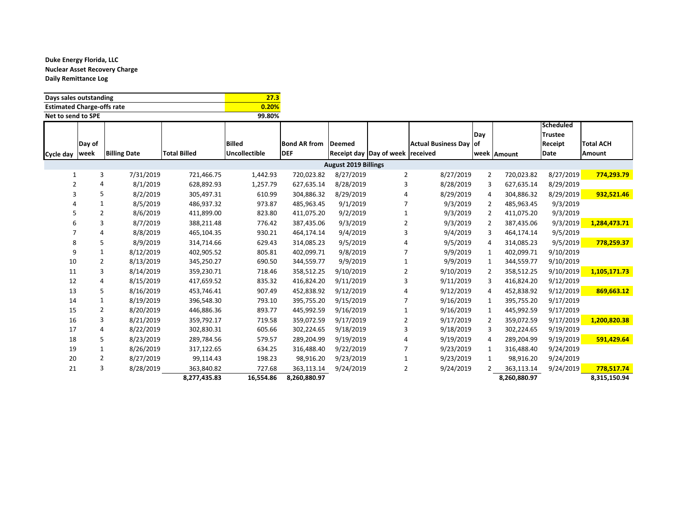| Days sales outstanding            | 27.3   |
|-----------------------------------|--------|
| <b>Estimated Charge-offs rate</b> | 0.20%  |
| Net to send to SPE                | 99.80% |

|                |                |                     |                     |                      |                     |                             |                                  |                               |                |              | <b>Scheduled</b> |                  |
|----------------|----------------|---------------------|---------------------|----------------------|---------------------|-----------------------------|----------------------------------|-------------------------------|----------------|--------------|------------------|------------------|
|                |                |                     |                     |                      |                     |                             |                                  |                               | Day            |              | <b>Trustee</b>   |                  |
|                | Day of         |                     |                     | <b>Billed</b>        | <b>Bond AR from</b> | <b>Deemed</b>               |                                  | <b>Actual Business Day of</b> |                |              | Receipt          | <b>Total ACH</b> |
| Cycle day      | week           | <b>Billing Date</b> | <b>Total Billed</b> | <b>Uncollectible</b> | <b>DEF</b>          |                             | Receipt day Day of week received |                               |                | week Amount  | Date             | Amount           |
|                |                |                     |                     |                      |                     | <b>August 2019 Billings</b> |                                  |                               |                |              |                  |                  |
| 1              | 3              | 7/31/2019           | 721,466.75          | 1,442.93             | 720,023.82          | 8/27/2019                   | 2                                | 8/27/2019                     | $\overline{2}$ | 720,023.82   | 8/27/2019        | 774,293.79       |
| $\overline{2}$ | 4              | 8/1/2019            | 628,892.93          | 1,257.79             | 627,635.14          | 8/28/2019                   | 3                                | 8/28/2019                     | 3              | 627,635.14   | 8/29/2019        |                  |
|                | 5              | 8/2/2019            | 305,497.31          | 610.99               | 304,886.32          | 8/29/2019                   |                                  | 8/29/2019                     | 4              | 304,886.32   | 8/29/2019        | 932,521.46       |
|                | 1              | 8/5/2019            | 486,937.32          | 973.87               | 485,963.45          | 9/1/2019                    |                                  | 9/3/2019                      | 2              | 485,963.45   | 9/3/2019         |                  |
|                | $\overline{2}$ | 8/6/2019            | 411,899.00          | 823.80               | 411,075.20          | 9/2/2019                    |                                  | 9/3/2019                      | 2              | 411,075.20   | 9/3/2019         |                  |
| 6              | 3              | 8/7/2019            | 388,211.48          | 776.42               | 387,435.06          | 9/3/2019                    | 2                                | 9/3/2019                      | 2              | 387,435.06   | 9/3/2019         | 1,284,473.71     |
|                | 4              | 8/8/2019            | 465,104.35          | 930.21               | 464,174.14          | 9/4/2019                    | 3                                | 9/4/2019                      | 3              | 464,174.14   | 9/5/2019         |                  |
| 8              | 5              | 8/9/2019            | 314,714.66          | 629.43               | 314,085.23          | 9/5/2019                    |                                  | 9/5/2019                      | 4              | 314,085.23   | 9/5/2019         | 778,259.37       |
| 9              | 1              | 8/12/2019           | 402,905.52          | 805.81               | 402,099.71          | 9/8/2019                    |                                  | 9/9/2019                      | 1              | 402,099.71   | 9/10/2019        |                  |
| 10             |                | 8/13/2019           | 345,250.27          | 690.50               | 344,559.77          | 9/9/2019                    |                                  | 9/9/2019                      | 1              | 344,559.77   | 9/10/2019        |                  |
| 11             | 3              | 8/14/2019           | 359,230.71          | 718.46               | 358,512.25          | 9/10/2019                   | 2                                | 9/10/2019                     | 2              | 358,512.25   | 9/10/2019        | 1,105,171.73     |
| 12             | 4              | 8/15/2019           | 417,659.52          | 835.32               | 416,824.20          | 9/11/2019                   | 3                                | 9/11/2019                     | 3              | 416,824.20   | 9/12/2019        |                  |
| 13             | 5              | 8/16/2019           | 453,746.41          | 907.49               | 452,838.92          | 9/12/2019                   |                                  | 9/12/2019                     | 4              | 452,838.92   | 9/12/2019        | 869,663.12       |
| 14             | 1              | 8/19/2019           | 396,548.30          | 793.10               | 395,755.20          | 9/15/2019                   |                                  | 9/16/2019                     | 1              | 395,755.20   | 9/17/2019        |                  |
| 15             | $\overline{2}$ | 8/20/2019           | 446,886.36          | 893.77               | 445,992.59          | 9/16/2019                   |                                  | 9/16/2019                     | 1              | 445,992.59   | 9/17/2019        |                  |
| 16             | 3              | 8/21/2019           | 359,792.17          | 719.58               | 359,072.59          | 9/17/2019                   | 2                                | 9/17/2019                     | 2              | 359,072.59   | 9/17/2019        | 1,200,820.38     |
| 17             | 4              | 8/22/2019           | 302,830.31          | 605.66               | 302,224.65          | 9/18/2019                   | 3                                | 9/18/2019                     | 3              | 302,224.65   | 9/19/2019        |                  |
| 18             | 5              | 8/23/2019           | 289,784.56          | 579.57               | 289,204.99          | 9/19/2019                   | 4                                | 9/19/2019                     | 4              | 289,204.99   | 9/19/2019        | 591,429.64       |
| 19             |                | 8/26/2019           | 317,122.65          | 634.25               | 316,488.40          | 9/22/2019                   |                                  | 9/23/2019                     | 1              | 316,488.40   | 9/24/2019        |                  |
| 20             | 2              | 8/27/2019           | 99,114.43           | 198.23               | 98,916.20           | 9/23/2019                   |                                  | 9/23/2019                     | 1              | 98,916.20    | 9/24/2019        |                  |
| 21             | 3              | 8/28/2019           | 363,840.82          | 727.68               | 363,113.14          | 9/24/2019                   | 2                                | 9/24/2019                     |                | 363,113.14   | 9/24/2019        | 778,517.74       |
|                |                |                     | 8,277,435.83        | 16,554.86            | 8,260,880.97        |                             |                                  |                               |                | 8,260,880.97 |                  | 8,315,150.94     |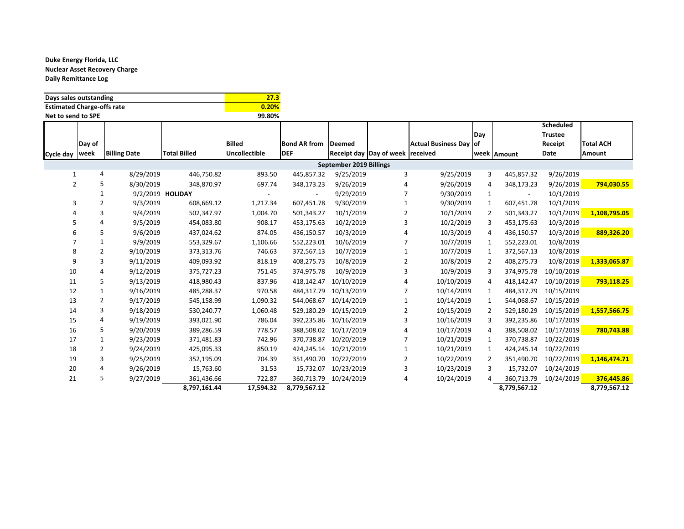| Days sales outstanding            | 27.3   |
|-----------------------------------|--------|
| <b>Estimated Charge-offs rate</b> | 0.20%  |
| Net to send to SPE                | 99.80% |

|                  |        |                     |                     |                      |                     |                         |                         |                        |                |              | <b>Scheduled</b> |                  |
|------------------|--------|---------------------|---------------------|----------------------|---------------------|-------------------------|-------------------------|------------------------|----------------|--------------|------------------|------------------|
|                  |        |                     |                     |                      |                     |                         |                         |                        | Day            |              | <b>Trustee</b>   |                  |
|                  | Day of |                     |                     | <b>Billed</b>        | <b>Bond AR from</b> | Deemed                  |                         | Actual Business Day of |                |              | Receipt          | <b>Total ACH</b> |
| Cycle day   week |        | <b>Billing Date</b> | <b>Total Billed</b> | <b>Uncollectible</b> | <b>DEF</b>          |                         | Receipt day Day of week | received               |                | week Amount  | Date             | Amount           |
|                  |        |                     |                     |                      |                     | September 2019 Billings |                         |                        |                |              |                  |                  |
| 1                | 4      | 8/29/2019           | 446,750.82          | 893.50               | 445,857.32          | 9/25/2019               | 3                       | 9/25/2019              | 3              | 445,857.32   | 9/26/2019        |                  |
| 2                |        | 8/30/2019           | 348,870.97          | 697.74               | 348,173.23          | 9/26/2019               | 4                       | 9/26/2019              | 4              | 348,173.23   | 9/26/2019        | 794,030.55       |
|                  |        |                     | 9/2/2019 HOLIDAY    |                      |                     | 9/29/2019               | 7                       | 9/30/2019              | 1              |              | 10/1/2019        |                  |
| 3                | 2      | 9/3/2019            | 608,669.12          | 1,217.34             | 607,451.78          | 9/30/2019               | 1                       | 9/30/2019              | $\mathbf{1}$   | 607,451.78   | 10/1/2019        |                  |
|                  | 3      | 9/4/2019            | 502,347.97          | 1,004.70             | 501,343.27          | 10/1/2019               | 2                       | 10/1/2019              | 2              | 501,343.27   | 10/1/2019        | 1,108,795.05     |
|                  | Δ      | 9/5/2019            | 454,083.80          | 908.17               | 453,175.63          | 10/2/2019               | 3                       | 10/2/2019              | 3              | 453,175.63   | 10/3/2019        |                  |
|                  | 5      | 9/6/2019            | 437,024.62          | 874.05               | 436.150.57          | 10/3/2019               | 4                       | 10/3/2019              | 4              | 436,150.57   | 10/3/2019        | 889,326.20       |
|                  |        | 9/9/2019            | 553,329.67          | 1,106.66             | 552,223.01          | 10/6/2019               |                         | 10/7/2019              | 1              | 552,223.01   | 10/8/2019        |                  |
| 8                | 2      | 9/10/2019           | 373,313.76          | 746.63               | 372,567.13          | 10/7/2019               | $\mathbf{1}$            | 10/7/2019              | 1              | 372,567.13   | 10/8/2019        |                  |
| 9                | 3      | 9/11/2019           | 409,093.92          | 818.19               | 408,275.73          | 10/8/2019               | 2                       | 10/8/2019              | 2              | 408,275.73   | 10/8/2019        | 1,333,065.87     |
| 10               |        | 9/12/2019           | 375,727.23          | 751.45               | 374,975.78          | 10/9/2019               | 3                       | 10/9/2019              | 3              | 374,975.78   | 10/10/2019       |                  |
| 11               | 5      | 9/13/2019           | 418,980.43          | 837.96               | 418.142.47          | 10/10/2019              |                         | 10/10/2019             | $\overline{4}$ | 418.142.47   | 10/10/2019       | 793,118.25       |
| 12               |        | 9/16/2019           | 485,288.37          | 970.58               | 484,317.79          | 10/13/2019              |                         | 10/14/2019             | $\mathbf{1}$   | 484,317.79   | 10/15/2019       |                  |
| 13               | 2      | 9/17/2019           | 545,158.99          | 1,090.32             | 544,068.67          | 10/14/2019              |                         | 10/14/2019             | 1              | 544,068.67   | 10/15/2019       |                  |
| 14               | 3      | 9/18/2019           | 530,240.77          | 1,060.48             | 529,180.29          | 10/15/2019              | 2                       | 10/15/2019             | 2              | 529,180.29   | 10/15/2019       | 1,557,566.75     |
| 15               | 4      | 9/19/2019           | 393,021.90          | 786.04               | 392,235.86          | 10/16/2019              | 3                       | 10/16/2019             | 3              | 392,235.86   | 10/17/2019       |                  |
| 16               | 5      | 9/20/2019           | 389,286.59          | 778.57               | 388,508.02          | 10/17/2019              |                         | 10/17/2019             | 4              | 388,508.02   | 10/17/2019       | 780,743.88       |
| 17               |        | 9/23/2019           | 371,481.83          | 742.96               | 370,738.87          | 10/20/2019              |                         | 10/21/2019             | 1              | 370,738.87   | 10/22/2019       |                  |
| 18               | 2      | 9/24/2019           | 425,095.33          | 850.19               | 424,245.14          | 10/21/2019              |                         | 10/21/2019             | 1              | 424,245.14   | 10/22/2019       |                  |
| 19               | 3      | 9/25/2019           | 352,195.09          | 704.39               | 351,490.70          | 10/22/2019              | 2                       | 10/22/2019             | 2              | 351,490.70   | 10/22/2019       | 1,146,474.71     |
| 20               |        | 9/26/2019           | 15,763.60           | 31.53                | 15,732.07           | 10/23/2019              | 3                       | 10/23/2019             | 3              | 15,732.07    | 10/24/2019       |                  |
| 21               | 5      | 9/27/2019           | 361,436.66          | 722.87               | 360,713.79          | 10/24/2019              | 4                       | 10/24/2019             | 4              | 360,713.79   | 10/24/2019       | 376,445.86       |
|                  |        |                     | 8,797,161.44        | 17,594.32            | 8,779,567.12        |                         |                         |                        |                | 8,779,567.12 |                  | 8,779,567.12     |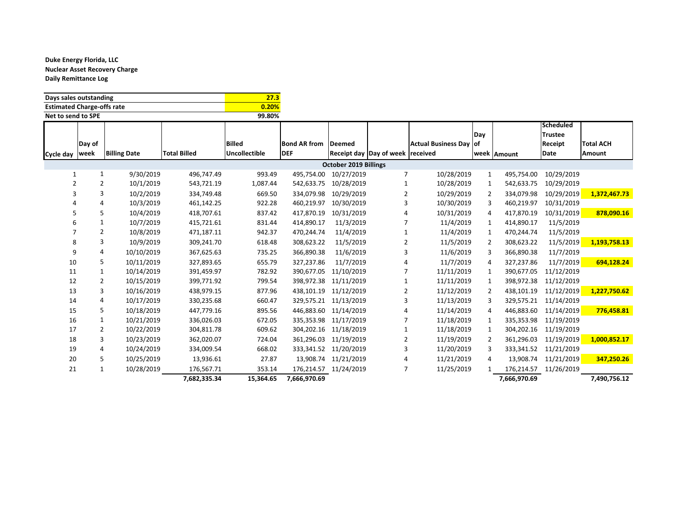| Days sales outstanding            | 27.3   |
|-----------------------------------|--------|
| <b>Estimated Charge-offs rate</b> | 0.20%  |
| Net to send to SPE                | 99.80% |

|           |              |                     |                     |                      |                     |                              |                                  |                        |                |              | Scheduled      |                  |
|-----------|--------------|---------------------|---------------------|----------------------|---------------------|------------------------------|----------------------------------|------------------------|----------------|--------------|----------------|------------------|
|           |              |                     |                     |                      |                     |                              |                                  |                        | Day            |              | <b>Trustee</b> |                  |
|           | Day of       |                     |                     | <b>Billed</b>        | <b>Bond AR from</b> | <b>Deemed</b>                |                                  | Actual Business Day of |                |              | Receipt        | <b>Total ACH</b> |
| Cycle day | week         | <b>Billing Date</b> | <b>Total Billed</b> | <b>Uncollectible</b> | <b>DEF</b>          |                              | Receipt day Day of week received |                        |                | week Amount  | Date           | Amount           |
|           |              |                     |                     |                      |                     | <b>October 2019 Billings</b> |                                  |                        |                |              |                |                  |
| 1         | $\mathbf{1}$ | 9/30/2019           | 496,747.49          | 993.49               | 495,754.00          | 10/27/2019                   | 7                                | 10/28/2019             | 1              | 495,754.00   | 10/29/2019     |                  |
| 2         | 2            | 10/1/2019           | 543,721.19          | 1,087.44             | 542,633.75          | 10/28/2019                   |                                  | 10/28/2019             | 1              | 542,633.75   | 10/29/2019     |                  |
| 3         | 3            | 10/2/2019           | 334,749.48          | 669.50               | 334,079.98          | 10/29/2019                   | 2                                | 10/29/2019             | 2              | 334,079.98   | 10/29/2019     | 1,372,467.73     |
|           |              | 10/3/2019           | 461,142.25          | 922.28               | 460,219.97          | 10/30/2019                   | 3                                | 10/30/2019             | 3              | 460,219.97   | 10/31/2019     |                  |
|           | 5            | 10/4/2019           | 418,707.61          | 837.42               | 417,870.19          | 10/31/2019                   |                                  | 10/31/2019             | 4              | 417,870.19   | 10/31/2019     | 878,090.16       |
|           |              | 10/7/2019           | 415,721.61          | 831.44               | 414,890.17          | 11/3/2019                    |                                  | 11/4/2019              | 1              | 414,890.17   | 11/5/2019      |                  |
|           | 2            | 10/8/2019           | 471,187.11          | 942.37               | 470,244.74          | 11/4/2019                    |                                  | 11/4/2019              | 1              | 470,244.74   | 11/5/2019      |                  |
| 8         | 3            | 10/9/2019           | 309,241.70          | 618.48               | 308,623.22          | 11/5/2019                    | 2                                | 11/5/2019              | $\overline{2}$ | 308,623.22   | 11/5/2019      | 1,193,758.13     |
| q         | 4            | 10/10/2019          | 367,625.63          | 735.25               | 366,890.38          | 11/6/2019                    | 3                                | 11/6/2019              | 3              | 366,890.38   | 11/7/2019      |                  |
| 10        | 5            | 10/11/2019          | 327,893.65          | 655.79               | 327,237.86          | 11/7/2019                    |                                  | 11/7/2019              | 4              | 327,237.86   | 11/7/2019      | 694,128.24       |
| 11        |              | 10/14/2019          | 391,459.97          | 782.92               | 390,677.05          | 11/10/2019                   |                                  | 11/11/2019             | 1              | 390,677.05   | 11/12/2019     |                  |
| 12        | 2            | 10/15/2019          | 399,771.92          | 799.54               | 398,972.38          | 11/11/2019                   |                                  | 11/11/2019             | 1              | 398,972.38   | 11/12/2019     |                  |
| 13        | 3            | 10/16/2019          | 438,979.15          | 877.96               | 438,101.19          | 11/12/2019                   | 2                                | 11/12/2019             | $\overline{2}$ | 438,101.19   | 11/12/2019     | 1,227,750.62     |
| 14        | 4            | 10/17/2019          | 330,235.68          | 660.47               | 329,575.21          | 11/13/2019                   |                                  | 11/13/2019             | 3              | 329,575.21   | 11/14/2019     |                  |
| 15        | 5            | 10/18/2019          | 447,779.16          | 895.56               | 446,883.60          | 11/14/2019                   |                                  | 11/14/2019             | 4              | 446,883.60   | 11/14/2019     | 776,458.81       |
| 16        |              | 10/21/2019          | 336,026.03          | 672.05               | 335,353.98          | 11/17/2019                   |                                  | 11/18/2019             | 1              | 335,353.98   | 11/19/2019     |                  |
| 17        | 2            | 10/22/2019          | 304,811.78          | 609.62               | 304,202.16          | 11/18/2019                   |                                  | 11/18/2019             | 1              | 304,202.16   | 11/19/2019     |                  |
| 18        | 3            | 10/23/2019          | 362,020.07          | 724.04               | 361,296.03          | 11/19/2019                   | 2                                | 11/19/2019             | 2              | 361,296.03   | 11/19/2019     | 1,000,852.17     |
| 19        | 4            | 10/24/2019          | 334,009.54          | 668.02               | 333,341.52          | 11/20/2019                   | 3                                | 11/20/2019             | 3              | 333,341.52   | 11/21/2019     |                  |
| 20        | 5            | 10/25/2019          | 13,936.61           | 27.87                | 13.908.74           | 11/21/2019                   |                                  | 11/21/2019             | 4              | 13,908.74    | 11/21/2019     | 347,250.26       |
| 21        |              | 10/28/2019          | 176,567.71          | 353.14               | 176,214.57          | 11/24/2019                   |                                  | 11/25/2019             |                | 176,214.57   | 11/26/2019     |                  |
|           |              |                     | 7,682,335.34        | 15,364.65            | 7,666,970.69        |                              |                                  |                        |                | 7,666,970.69 |                | 7,490,756.12     |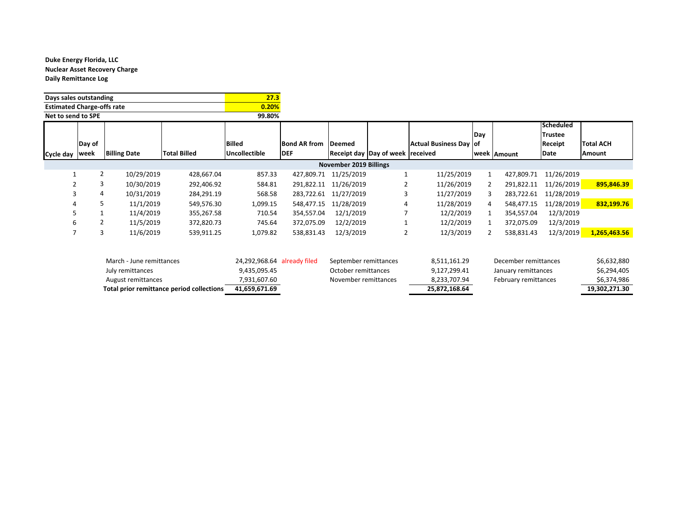| Days sales outstanding            | 27.3   |
|-----------------------------------|--------|
| <b>Estimated Charge-offs rate</b> | 0.20%  |
| Net to send to SPE                | 99.80% |

|           |                                           |                          |                     |                             |                      |                               |                                  |                        |                      |                      | Scheduled  |                  |
|-----------|-------------------------------------------|--------------------------|---------------------|-----------------------------|----------------------|-------------------------------|----------------------------------|------------------------|----------------------|----------------------|------------|------------------|
|           |                                           |                          |                     |                             |                      |                               |                                  |                        | Day                  |                      | Trustee    |                  |
|           | Day of                                    |                          |                     | <b>Billed</b>               | <b>Bond AR from</b>  | <b>Deemed</b>                 |                                  | Actual Business Day of |                      |                      | Receipt    | <b>Total ACH</b> |
| Cycle day | week                                      | <b>Billing Date</b>      | <b>Total Billed</b> | Uncollectible               | <b>DEF</b>           |                               | Receipt day Day of week received |                        |                      | week Amount          | Date       | Amount           |
|           |                                           |                          |                     |                             |                      | <b>November 2019 Billings</b> |                                  |                        |                      |                      |            |                  |
| 1         | $\overline{2}$                            | 10/29/2019               | 428,667.04          | 857.33                      | 427,809.71           | 11/25/2019                    |                                  | 11/25/2019             |                      | 427,809.71           | 11/26/2019 |                  |
|           | 3                                         | 10/30/2019               | 292,406.92          | 584.81                      | 291,822.11           | 11/26/2019                    | 2                                | 11/26/2019             | 2                    | 291,822.11           | 11/26/2019 | 895,846.39       |
| 3         | 4                                         | 10/31/2019               | 284,291.19          | 568.58                      | 283,722.61           | 11/27/2019                    | 3                                | 11/27/2019             | 3                    | 283,722.61           | 11/28/2019 |                  |
|           |                                           | 11/1/2019                | 549,576.30          | 1,099.15                    | 548,477.15           | 11/28/2019                    | 4                                | 11/28/2019             | 4                    | 548,477.15           | 11/28/2019 | 832,199.76       |
| 5.        |                                           | 11/4/2019                | 355,267.58          | 710.54                      | 354,557.04           | 12/1/2019                     |                                  | 12/2/2019              |                      | 354,557.04           | 12/3/2019  |                  |
| 6         | 2                                         | 11/5/2019                | 372,820.73          | 745.64                      | 372,075.09           | 12/2/2019                     |                                  | 12/2/2019              |                      | 372,075.09           | 12/3/2019  |                  |
|           | 3                                         | 11/6/2019                | 539,911.25          | 1,079.82                    | 538,831.43           | 12/3/2019                     | 2                                | 12/3/2019              | 2                    | 538,831.43           | 12/3/2019  | 1,265,463.56     |
|           |                                           |                          |                     |                             |                      |                               |                                  |                        |                      |                      |            |                  |
|           |                                           |                          |                     |                             |                      |                               |                                  |                        |                      |                      |            |                  |
|           |                                           | March - June remittances |                     | 24,292,968.64 already filed |                      | September remittances         |                                  | 8,511,161.29           |                      | December remittances |            | \$6,632,880      |
|           |                                           | July remittances         |                     | 9,435,095.45                |                      | October remittances           |                                  | 9,127,299.41           |                      | January remittances  |            | \$6,294,405      |
|           |                                           | August remittances       |                     | 7,931,607.60                | November remittances |                               |                                  | 8,233,707.94           | February remittances |                      |            | \$6,374,986      |
|           | Total prior remittance period collections |                          |                     | 41,659,671.69               |                      |                               |                                  | 25,872,168.64          |                      |                      |            | 19,302,271.30    |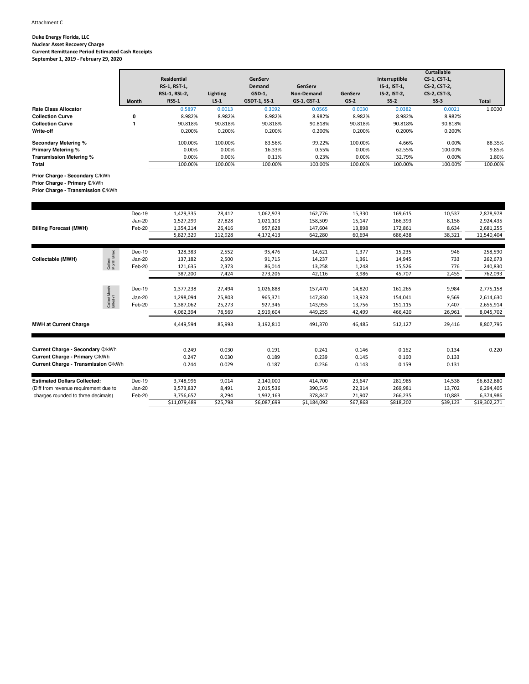**Duke Energy Florida, LLC Nuclear Asset Recovery Charge Current Remittance Period Estimated Cash Receipts September 1, 2019 - February 29, 2020**

|                             |              |                    |                 |                     |             |         |               | <b>Curtailable</b> |              |
|-----------------------------|--------------|--------------------|-----------------|---------------------|-------------|---------|---------------|--------------------|--------------|
|                             |              | <b>Residential</b> |                 | GenServ             |             |         | Interruptible | CS-1, CST-1,       |              |
|                             |              | RS-1, RST-1,       |                 | <b>Demand</b>       | GenServ     |         | IS-1, IST-1,  | CS-2, CST-2,       |              |
|                             |              | RSL-1, RSL-2,      | <b>Lighting</b> | GSD-1,              | Non-Demand  | GenServ | IS-2, IST-2,  | CS-2, CST-3,       |              |
|                             | <b>Month</b> | <b>RSS-1</b>       | $LS-1$          | <b>GSDT-1, SS-1</b> | GS-1, GST-1 | $GS-2$  | $SS-2$        | $SS-3$             | <b>Total</b> |
| <b>Rate Class Allocator</b> |              | 0.5897             | 0.0013          | 0.3092              | 0.0565      | 0.0030  | 0.0382        | 0.0021             | 1.0000       |
| <b>Collection Curve</b>     | 0            | 8.982%             | 8.982%          | 8.982%              | 8.982%      | 8.982%  | 8.982%        | 8.982%             |              |
| <b>Collection Curve</b>     |              | 90.818%            | 90.818%         | 90.818%             | 90.818%     | 90.818% | 90.818%       | 90.818%            |              |
| Write-off                   |              | 0.200%             | 0.200%          | 0.200%              | 0.200%      | 0.200%  | 0.200%        | 0.200%             |              |
| <b>Secondary Metering %</b> |              | 100.00%            | 100.00%         | 83.56%              | 99.22%      | 100.00% | 4.66%         | 0.00%              | 88.35%       |
| <b>Primary Metering %</b>   |              | 0.00%              | 0.00%           | 16.33%              | 0.55%       | 0.00%   | 62.55%        | 100.00%            | 9.85%        |
| Transmission Metering %     |              | 0.00%              | 0.00%           | 0.11%               | 0.23%       | 0.00%   | 32.79%        | 0.00%              | 1.80%        |
| Total                       |              | 100.00%            | 100.00%         | 100.00%             | 100.00%     | 100.00% | 100.00%       | 100.00%            | 100.00%      |
|                             |              |                    |                 |                     |             |         |               |                    |              |

**Prior Charge - Secondary** ₵/kWh

**Prior Charge - Primary** ₵/kWh

**Prior Charge - Transmission** ₵/kWh

|                                       | Dec-19                              | 1,429,335 | 28,412  | 1,062,973 | 162,776 | 15,330 | 169,615 | 10,537 | 2,878,978   |
|---------------------------------------|-------------------------------------|-----------|---------|-----------|---------|--------|---------|--------|-------------|
|                                       | Jan-20                              | 1,527,299 | 27,828  | 1,021,103 | 158,509 | 15,147 | 166,393 | 8,156  | 2,924,435   |
| <b>Billing Forecast (MWH)</b>         | Feb-20                              | 1,354,214 | 26,416  | 957,628   | 147,604 | 13,898 | 172,861 | 8,634  | 2,681,255   |
|                                       |                                     | 5,827,329 | 112,928 | 4,172,413 | 642,280 | 60,694 | 686,438 | 38,321 | 11,540,404  |
|                                       |                                     |           |         |           |         |        |         |        |             |
|                                       | Dec-19                              | 128,383   | 2,552   | 95,476    | 14,621  | 1,377  | 15,235  | 946    | 258,590     |
| Collectable (MWH)                     | Jan-20                              | 137,182   | 2,500   | 91,715    | 14,237  | 1,361  | 14,945  | 733    | 262,673     |
|                                       | Collect<br>Month Billed<br>Feb-20   | 121,635   | 2,373   | 86,014    | 13,258  | 1,248  | 15,526  | 776    | 240,830     |
|                                       |                                     | 387,200   | 7,424   | 273,206   | 42,116  | 3,986  | 45,707  | 2,455  | 762,093     |
|                                       |                                     |           |         |           |         |        |         |        |             |
|                                       | Collect Month<br>Billed+1<br>Dec-19 | 1,377,238 | 27,494  | 1,026,888 | 157,470 | 14,820 | 161,265 | 9,984  | 2,775,158   |
|                                       | Jan-20                              | 1,298,094 | 25,803  | 965,371   | 147,830 | 13,923 | 154,041 | 9,569  | 2,614,630   |
|                                       | Feb-20                              | 1,387,062 | 25,273  | 927,346   | 143,955 | 13,756 | 151,115 | 7,407  | 2,655,914   |
|                                       |                                     | 4,062,394 | 78,569  | 2,919,604 | 449,255 | 42,499 | 466,420 | 26,961 | 8,045,702   |
| <b>MWH at Current Charge</b>          |                                     | 4,449,594 | 85,993  | 3,192,810 | 491,370 | 46.485 | 512,127 | 29,416 | 8,807,795   |
| Current Charge - Secondary C/kWh      |                                     |           |         |           |         |        |         |        |             |
| Current Charge - Primary C/kWh        |                                     | 0.249     | 0.030   | 0.191     | 0.241   | 0.146  | 0.162   | 0.134  | 0.220       |
| Current Charge - Transmission C/kWh   |                                     | 0.247     | 0.030   | 0.189     | 0.239   | 0.145  | 0.160   | 0.133  |             |
|                                       |                                     | 0.244     | 0.029   | 0.187     | 0.236   | 0.143  | 0.159   | 0.131  |             |
| <b>Estimated Dollars Collected:</b>   | Dec-19                              | 3,748,996 | 9,014   | 2,140,000 | 414,700 | 23,647 | 281,985 | 14,538 | \$6,632,880 |
| (Diff from revenue requirement due to | Jan-20                              | 3,573,837 | 8,491   | 2,015,536 | 390,545 | 22,314 | 269,981 | 13,702 | 6,294,405   |
| charges rounded to three decimals)    | Feb-20                              | 3,756,657 | 8,294   | 1,932,163 | 378,847 | 21,907 | 266,235 | 10,883 | 6,374,986   |
|                                       |                                     |           |         |           |         |        |         |        |             |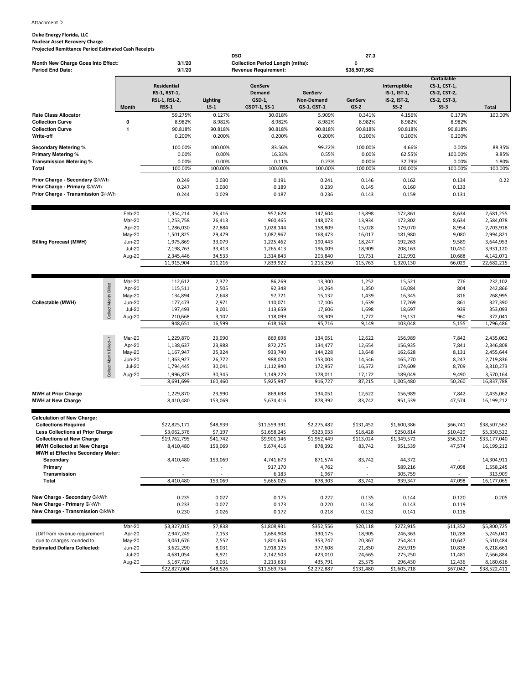**Duke Energy Florida, LLC Nuclear Asset Recovery Charge Projected Remittance Period Estimated Cash Receipts**

|                                          |               |                                                                               |                    | <b>DSO</b>                                                                 |                                      | 27.3                              |                                                         |                                                                              |              |
|------------------------------------------|---------------|-------------------------------------------------------------------------------|--------------------|----------------------------------------------------------------------------|--------------------------------------|-----------------------------------|---------------------------------------------------------|------------------------------------------------------------------------------|--------------|
| Month New Charge Goes Into Effect:       |               | 3/1/20                                                                        |                    | <b>Collection Period Length (mths):</b>                                    |                                      | 6                                 |                                                         |                                                                              |              |
| <b>Period End Date:</b>                  | <b>Month</b>  | 9/1/20<br><b>Residential</b><br>RS-1, RST-1,<br>RSL-1, RSL-2,<br><b>RSS-1</b> | Lighting<br>$LS-1$ | <b>Revenue Requirement:</b><br>GenServ<br>Demand<br>GSD-1,<br>GSDT-1, SS-1 | GenServ<br>Non-Demand<br>GS-1, GST-1 | \$38,507,562<br>GenServ<br>$GS-2$ | Interruptible<br>IS-1, IST-1,<br>IS-2, IST-2,<br>$SS-2$ | <b>Curtailable</b><br>CS-1, CST-1,<br>CS-2, CST-2,<br>CS-2, CST-3,<br>$SS-3$ | <b>Total</b> |
| <b>Rate Class Allocator</b>              |               | 59.275%                                                                       | 0.127%             | 30.018%                                                                    | 5.909%                               | 0.341%                            | 4.156%                                                  | 0.173%                                                                       | 100.00%      |
| <b>Collection Curve</b>                  | 0             | 8.982%                                                                        | 8.982%             | 8.982%                                                                     | 8.982%                               | 8.982%                            | 8.982%                                                  | 8.982%                                                                       |              |
| <b>Collection Curve</b>                  | 1             | 90.818%                                                                       | 90.818%            | 90.818%                                                                    | 90.818%                              | 90.818%                           | 90.818%                                                 | 90.818%                                                                      |              |
| Write-off                                |               | 0.200%                                                                        | 0.200%             | 0.200%                                                                     | 0.200%                               | 0.200%                            | 0.200%                                                  | 0.200%                                                                       |              |
|                                          |               |                                                                               |                    |                                                                            |                                      |                                   |                                                         |                                                                              |              |
| <b>Secondary Metering %</b>              |               | 100.00%                                                                       | 100.00%            | 83.56%                                                                     | 99.22%                               | 100.00%                           | 4.66%                                                   | 0.00%                                                                        | 88.35%       |
| Primary Metering %                       |               | 0.00%                                                                         | 0.00%              | 16.33%                                                                     | 0.55%                                | 0.00%                             | 62.55%                                                  | 100.00%                                                                      | 9.85%        |
| Transmission Metering %                  |               | 0.00%                                                                         | 0.00%              | 0.11%                                                                      | 0.23%                                | 0.00%                             | 32.79%                                                  | 0.00%                                                                        | 1.80%        |
| Total                                    |               | 100.00%                                                                       | 100.00%            | 100.00%                                                                    | 100.00%                              | 100.00%                           | 100.00%                                                 | 100.00%                                                                      | 100.00%      |
| Prior Charge - Secondary C/kWh           |               | 0.249                                                                         | 0.030              | 0.191                                                                      | 0.241                                | 0.146                             | 0.162                                                   | 0.134                                                                        | 0.22         |
| Prior Charge - Primary C/kWh             |               | 0.247                                                                         | 0.030              | 0.189                                                                      | 0.239                                | 0.145                             | 0.160                                                   | 0.133                                                                        |              |
| Prior Charge - Transmission C/kWh        |               | 0.244                                                                         | 0.029              | 0.187                                                                      | 0.236                                | 0.143                             | 0.159                                                   | 0.131                                                                        |              |
|                                          |               |                                                                               |                    |                                                                            |                                      |                                   |                                                         |                                                                              |              |
|                                          |               |                                                                               |                    |                                                                            |                                      |                                   |                                                         |                                                                              |              |
|                                          | Feb-20        | 1,354,214                                                                     | 26,416             | 957,628                                                                    | 147,604                              | 13,898                            | 172,861                                                 | 8,634                                                                        | 2,681,255    |
|                                          | Mar-20        | 1,253,758                                                                     | 26,413             | 960,465                                                                    | 148,073                              | 13,934                            | 172,802                                                 | 8,634                                                                        | 2,584,078    |
|                                          | Apr-20        | 1,286,030                                                                     | 27,884             | 1,028,144                                                                  | 158,809                              | 15,028                            | 179,070                                                 | 8,954                                                                        | 2,703,918    |
|                                          | May-20        | 1,501,825                                                                     | 29,479             | 1,087,967                                                                  | 168,473                              | 16,017                            | 181,980                                                 | 9,080                                                                        | 2,994,821    |
| <b>Billing Forecast (MWH)</b>            | <b>Jun-20</b> | 1,975,869                                                                     | 33,079             | 1,225,462                                                                  | 190,443                              | 18,247                            | 192,263                                                 | 9,589                                                                        | 3,644,953    |
|                                          | <b>Jul-20</b> | 2,198,763                                                                     | 33,413             | 1,265,413                                                                  | 196,009                              | 18,909                            | 208,163                                                 | 10,450                                                                       | 3,931,120    |
|                                          | Aug-20        | 2,345,446                                                                     | 34,533             | 1,314,843                                                                  | 203,840                              | 19,731                            | 212,992                                                 | 10,688                                                                       | 4,142,071    |
|                                          |               | 11,915,904                                                                    | 211,216            | 7,839,922                                                                  | 1,213,250                            | 115,763                           | 1,320,130                                               | 66,029                                                                       | 22,682,215   |
|                                          |               |                                                                               |                    |                                                                            |                                      |                                   |                                                         |                                                                              |              |
|                                          | Mar-20        | 112,612                                                                       | 2,372              | 86,269                                                                     | 13,300                               | 1,252                             | 15,521                                                  | 776                                                                          | 232,102      |
|                                          | Apr-20        | 115,511                                                                       | 2,505              | 92,348                                                                     | 14,264                               | 1,350                             | 16,084                                                  | 804                                                                          | 242,866      |
|                                          | May-20        | 134,894                                                                       | 2,648              | 97,721                                                                     | 15,132                               | 1,439                             | 16,345                                                  | 816                                                                          | 268,995      |
| Collectable (MWH)                        | <b>Jun-20</b> | 177,473                                                                       | 2,971              | 110,071                                                                    | 17,106                               | 1,639                             | 17,269                                                  | 861                                                                          | 327,390      |
|                                          | <b>Jul-20</b> | 197,493                                                                       | 3,001              | 113,659                                                                    | 17,606                               | 1,698                             | 18,697                                                  | 939                                                                          | 353,093      |
| Collect Month Billed                     | Aug-20        | 210,668                                                                       | 3,102              | 118,099                                                                    | 18,309                               | 1,772                             | 19,131                                                  | 960                                                                          | 372,041      |
|                                          |               | 948,651                                                                       | 16,599             | 618,168                                                                    | 95,716                               | 9,149                             | 103,048                                                 | 5,155                                                                        | 1,796,486    |
|                                          |               |                                                                               |                    |                                                                            |                                      |                                   |                                                         |                                                                              |              |
|                                          | Mar-20        | 1,229,870                                                                     | 23,990             | 869,698                                                                    | 134,051                              | 12,622                            | 156,989                                                 | 7,842                                                                        | 2,435,062    |
|                                          | Apr-20        | 1,138,637                                                                     | 23,988             | 872,275                                                                    | 134,477                              | 12,654                            | 156,935                                                 | 7,841                                                                        | 2,346,808    |
|                                          | May-20        | 1,167,947                                                                     | 25,324             | 933,740                                                                    | 144,228                              | 13,648                            | 162,628                                                 | 8,131                                                                        | 2,455,644    |
|                                          | <b>Jun-20</b> | 1,363,927                                                                     | 26,772             | 988,070                                                                    | 153,003                              | 14,546                            | 165,270                                                 | 8,247                                                                        | 2,719,836    |
|                                          | <b>Jul-20</b> | 1,794,445                                                                     | 30,041             | 1,112,940                                                                  | 172,957                              | 16,572                            | 174,609                                                 | 8,709                                                                        | 3,310,273    |
| Collect Month Billed+1                   | Aug-20        | 1,996,873                                                                     | 30,345             | 1,149,223                                                                  | 178,011                              | 17,172                            | 189,049                                                 | 9,490                                                                        | 3,570,164    |
|                                          |               | 8,691,699                                                                     | 160,460            | 5,925,947                                                                  | 916,727                              | 87,215                            | 1,005,480                                               | 50,260                                                                       | 16,837,788   |
|                                          |               |                                                                               |                    |                                                                            |                                      |                                   |                                                         |                                                                              |              |
| <b>MWH at Prior Charge</b>               |               | 1,229,870                                                                     | 23,990             | 869,698                                                                    | 134,051                              | 12,622                            | 156,989                                                 | 7,842                                                                        | 2,435,062    |
| <b>MWH at New Charge</b>                 |               | 8,410,480                                                                     | 153,069            | 5,674,416                                                                  | 878,392                              | 83,742                            | 951,539                                                 | 47,574                                                                       | 16,199,212   |
|                                          |               |                                                                               |                    |                                                                            |                                      |                                   |                                                         |                                                                              |              |
| <b>Calculation of New Charge:</b>        |               |                                                                               |                    |                                                                            |                                      |                                   |                                                         |                                                                              |              |
| <b>Collections Required</b>              |               | \$22,825,171                                                                  | \$48,939           | \$11,559,391                                                               | \$2,275,482                          | \$131,452                         | \$1,600,386                                             | \$66,741                                                                     | \$38,507,562 |
| Less Collections at Prior Charge         |               | \$3,062,376                                                                   | \$7,197            | \$1,658,245                                                                | \$323,033                            | \$18,428                          | \$250.814                                               | \$10,429                                                                     | \$5,330,522  |
| <b>Collections at New Charge</b>         |               | \$19,762,795                                                                  | \$41,742           | \$9,901,146                                                                | \$1,952,449                          | \$113,024                         | \$1,349,572                                             | \$56,312                                                                     | \$33,177,040 |
| <b>MWH Collected at New Charge</b>       |               | 8,410,480                                                                     | 153,069            | 5,674,416                                                                  | 878,392                              | 83,742                            | 951,539                                                 | 47,574                                                                       | 16,199,212   |
| <b>MWH at Effective Secondary Meter:</b> |               |                                                                               |                    |                                                                            |                                      |                                   |                                                         |                                                                              |              |
| Secondary                                |               | 8,410,480                                                                     | 153,069            | 4,741,673                                                                  | 871,574                              | 83,742                            | 44,372                                                  | $\overline{\phantom{a}}$                                                     | 14,304,911   |
| Primary                                  |               |                                                                               |                    | 917,170                                                                    | 4,762                                |                                   | 589,216                                                 | 47,098                                                                       | 1,558,245    |
| Transmission                             |               |                                                                               |                    | 6,183                                                                      | 1,967                                |                                   | 305,759                                                 |                                                                              | 313,909      |
| Total                                    |               | 8,410,480                                                                     | 153,069            | 5,665,025                                                                  | 878,303                              | 83,742                            | 939,347                                                 | 47,098                                                                       | 16,177,065   |
|                                          |               |                                                                               |                    |                                                                            |                                      |                                   |                                                         |                                                                              |              |
| New Charge - Secondary C/kWh             |               | 0.235                                                                         | 0.027              | 0.175                                                                      | 0.222                                | 0.135                             | 0.144                                                   | 0.120                                                                        | 0.205        |
| New Charge - Primary C/kWh               |               | 0.233                                                                         | 0.027              | 0.173                                                                      | 0.220                                | 0.134                             | 0.143                                                   | 0.119                                                                        |              |
| New Charge - Transmission C/kWh          |               | 0.230                                                                         | 0.026              | 0.172                                                                      | 0.218                                | 0.132                             | 0.141                                                   | 0.118                                                                        |              |
|                                          |               |                                                                               |                    |                                                                            |                                      |                                   |                                                         |                                                                              |              |
|                                          | Mar-20        | \$3,327,015                                                                   | \$7,838            | \$1,808,931                                                                | \$352,556                            | \$20,118                          | \$272,915                                               | \$11,352                                                                     | \$5,800,725  |
| (Diff from revenue requirement           | Apr-20        | 2,947,249                                                                     | 7,153              | 1,684,908                                                                  | 330,175                              | 18,905                            | 246,363                                                 | 10,288                                                                       | 5,245,041    |
| due to charges rounded to                | May-20        | 3,061,676                                                                     | 7,552              | 1,801,654                                                                  | 353,747                              | 20,367                            | 254,841                                                 | 10,647                                                                       | 5,510,484    |
| <b>Estimated Dollars Collected:</b>      | <b>Jun-20</b> | 3,622,290                                                                     | 8,031              | 1,918,125                                                                  | 377,608                              | 21,850                            | 259,919                                                 | 10,838                                                                       | 6,218,661    |
|                                          | <b>Jul-20</b> | 4,681,054                                                                     | 8,921              | 2,142,503                                                                  | 423,010                              | 24,665                            | 275,250                                                 | 11,481                                                                       | 7,566,884    |
|                                          | Aug-20        | 5,187,720                                                                     | 9,031              | 2,213,633                                                                  | 435,791                              | 25,575                            | 296,430                                                 | 12,436                                                                       | 8,180,616    |
|                                          |               | \$22,827,004                                                                  | \$48,526           | \$11,569,754                                                               | \$2,272,887                          | \$131,480                         | \$1,605,718                                             | \$67,042                                                                     | \$38,522,411 |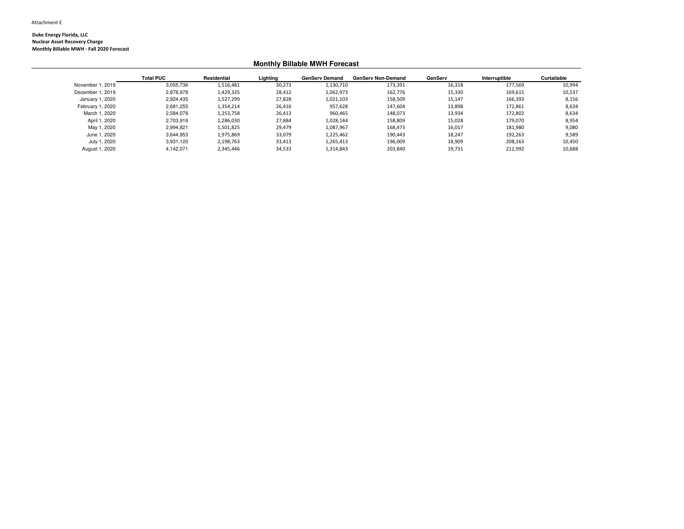**Duke Energy Florida, LLC Nuclear Asset Recovery ChargeMonthly Billable MWH - Fall 2020 Forecast**

## **Monthly Billable MWH Forecast**

|                  | <b>Total PUC</b> | Residential | Lighting | <b>GenServ Demand</b> | <b>GenServ Non-Demand</b> | GenServ | Interruptible | Curtailable |
|------------------|------------------|-------------|----------|-----------------------|---------------------------|---------|---------------|-------------|
| November 1, 2019 | 3,055,736        | 1,516,481   | 30,273   | 1,130,710             | 173,391                   | 16,318  | 177.569       | 10,994      |
| December 1, 2019 | 2,878,978        | 1,429,335   | 28,412   | 1,062,973             | 162,776                   | 15,330  | 169,615       | 10,537      |
| January 1, 2020  | 2,924,435        | 1,527,299   | 27,828   | 1,021,103             | 158,509                   | 15,147  | 166,393       | 8,156       |
| February 1, 2020 | 2,681,255        | 1,354,214   | 26,416   | 957,628               | 147,604                   | 13,898  | 172,861       | 8,634       |
| March 1, 2020    | 2,584,078        | 1,253,758   | 26,413   | 960,465               | 148,073                   | 13,934  | 172.802       | 8,634       |
| April 1, 2020    | 2.703.918        | 1.286.030   | 27.884   | 1,028,144             | 158.809                   | 15,028  | 179.070       | 8,954       |
| May 1, 2020      | 2.994.821        | 1,501,825   | 29,479   | 1,087,967             | 168,473                   | 16,017  | 181.980       | 9,080       |
| June 1, 2020     | 3,644,953        | 1,975,869   | 33,079   | 1,225,462             | 190,443                   | 18,247  | 192,263       | 9,589       |
| July 1, 2020     | 3,931,120        | 2,198,763   | 33,413   | 1,265,413             | 196,009                   | 18,909  | 208,163       | 10,450      |
| August 1, 2020   | 4.142.071        | 2.345.446   | 34,533   | 1,314,843             | 203,840                   | 19,731  | 212,992       | 10,688      |
|                  |                  |             |          |                       |                           |         |               |             |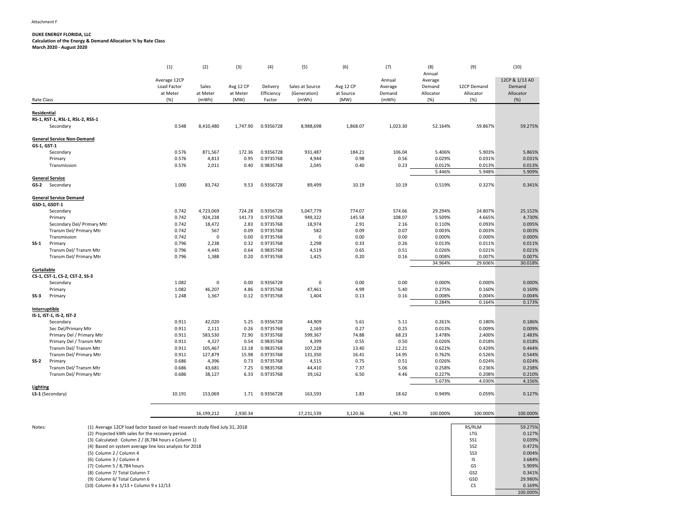#### **DUKE ENERGY FLORIDA, LLC Calculation of the Energy & Demand Allocation % by Rate ClassMarch 2020 - August 2020**

(5) Column 2 / Column 4

(6) Column 3 / Column 4

(7) Column 5 / 8,784 hours

(1) (2) (3) (4) (5) (6) (7) (8) (9) (10) AnnualAverage 12CPP
annual
Average  $\overline{P}$ Annual
Average  $\overline{P}$ Annual
Average  $\overline{P}$ Annual  $\overline{P}$ Load FactorSales<br>at Meter Avg 12 CP<br>at Meter Delivery Sales at Source Avg 12 CP Average Demand<br>Efficiency (Generation) at Source Demand Allocator 12CP Demand Demand at Meterat Meter at Meter Efficiency<br>(mWh) (MW) Factor (Generation) at Source<br>(mWh) (MW) Demand<br>(mWh) Allocator Allocator Allocator Rate Class (%) (mWh) (MW) Factor (mWh) (MW) (mWh) (%) (%) (%) **Residential RS-1, RST-1, RSL-1, RSL-2, RSS-1**Secondary 0.548 8,410,480 1,747.90 0.9356728 8,988,698 1,868.07 1,023.30 52.164% 59.867% 59.275% **General Service Non-DemandGS-1, GST-1** Secondary 0.576 871,567 172.36 0.9356728 931,487 184.21 106.04 5.406% 5.903% 5.865% Primary 0.576 4,813 0.95 0.9735768 4,944 0.98 0.56 0.029% 0.031% 0.031% Transmission 0.576 2,011 0.40 0.9835768 2,045 0.40 0.23 0.012% $0.012\%$  0.013% 0.013%<br>5.446% 5.948% 5.909% 5.446% 5.948% 5.909% **General Service**GS-2 Second **2** Secondary 1.000 83,742 9.53 0.9356728 89,499 10.19 10.19 0.519% 0.327% 0.341% **General Service DemandGSD-1, GSDT-1** Secondary 0.742 4,723,069 724.28 0.9356728 5,047,779 774.07 574.66 29.294%29.294% 24.807% 25.152%<br>5.509% 4.665% 4.730% Primary $y = 0.742$  924,238 141.73 0.9735768 949,322 145.58 108.07 5.509% 4.665% 4.730% Secondary Del/ Primary Mtr 0.742 18,472 2.83 0.9735768 18,974 2.91 2.16 0.110% 0.093% 0.095% Transm Del/ Primary Mtr 0.742 <sup>567</sup> 0.09 0.9735768 <sup>582</sup> 0.09 0.07 0.003% $0.003\%$   $0.003\%$   $0.000\%$   $0.000\%$   $0.000\%$ Transmission 0.742 <sup>0</sup> 0.00 0.9735768 <sup>0</sup> 0.00 0.00 0.000% $0.000\%$   $0.000\%$   $0.013\%$   $0.011\%$   $0.011\%$ **SS-1** Primary 0.796 2,238 0.32 0.9735768 2,298 0.33 0.26 0.013% 0.011% 0.011% Transm Del/ Transm Mtr 0.796 4,445 0.64 0.9835768 4,519 0.65 0.51 0.026%0.026% 0.021% 0.021%<br>0.008% 0.007% 0.007% Transm Del/ Primary Mtr 0.796 1,388 0.20 0.9735768 1,425 0.20 0.16 0.008%0.007% 0.007%<br>29.606% 30.018% 34.964% 29.606% 30.018% **Curtailable CS-1, CST-1, CS-2, CST-2, SS-3**Secondaryy 1.082 2 0 0.00 0.9356728 0 0.00 0.00 0.000 0.000% 0.000% 0.000% Primary 1.082 46,207 4.86 0.9735768 47,461 4.99 5.40 0.275% 0.160% 0.169% **SS-33** Primary 1.248 1,367 0.12 0.9735768 1,404 0.13 0.16 0.16 0.008% 0.004% 0.004% 0.284% 0.164% 0.173% **Interruptible IS-1, IST-1, IS-2, IST-2**Secondary $y = 0.911$  42,020 5.25 0.9356728 44,909 5.61 5.11 0.261%0.261% 0.180% 0.186%<br>0.013% 0.009% 0.009% Sec Del/Primary Mtr $r \hspace{2.5cm} 0.911$  2,111 0.26 0.9735768 2,169 0.27 0.25 0.013% 0.009% 0.009% Primary Del / Primary Mtr 0.911 583,530 72.90 0.9735768 599,367 74.88 68.23 3.478% 2.400% 2.483% Primary Del / Transm Mtr 0.911 4,327 0.54 0.9835768 4,399 0.55 0.50 0.026%0.026% 0.018% 0.018%<br>0.622% 0.429% 0.444% Transm Del/ Transm Mtr 0.911 105,467 13.18 0.9835768 107,228 13.40 12.21 0.622%0.622% 0.429% 0.444%<br>0.762% 0.526% 0.544% Transm Del/ Primary Mtr0.911<br>0.686 127,879 15.98 0.9735768 131,350 16.41 14.95 0.762% 0.526% 0.544% **SS-2** Primary 0.686 4,396 0.73 0.9735768 4,515 0.75 0.51 0.026%0.026% 0.024% 0.024% 0.024% 0.258% 0.236% 0.238% Transm Del/ Transm Mtrr 0.686 43,681 7.25 0.9835768 44,410 7.37 5.06 0.258% 0.236% 0.238% Transm Del/ Primary Mtrr **0.686**  38,127 6.33 0.9735768 39,162 6.50 4.46 0.227% 0.208% 0.210% 5.673% 4.030% 4.156% **Lighting LS-1** (Secondary) 10.191 153,069 1.71 0.9356728 163,593 1.83 18.62 0.949% 0.059% 0.127% 16,199,212 2,930.34 17,231,539 3,120.36 1,961.70 100.000% 100.000% 100.000% Notes: (1) Average 12CP load factor based on load research study filed July 31, 20188 and the contract of the contract of the contract of the contract of the contract of the contract of the contract of the contract of the contract of the contract of the contract of the contract of the contract of the cont RS/RLM 59.275%<br>LTG 0.127% (2) Projected kWh sales for the recovery period. LTGLTG 0.127%<br>SS1 0.039% 0.039%(3) Calculated: Column 2 / (8,784 hours x Column 1) SS1 0.472%

(4) Based on system average line loss analysis for 2018 $8 \t\t\t 0.472\%$ 0.004%  $\frac{1}{3}$  ss3 0.004% 3.684%  $\frac{1}{1}$  IS 3.684% 5.909%s and the contract of the contract of the contract of the contract of the contract of the contract of the contract of the contract of the contract of the contract of the contract of the contract of the contract of the cont 0.341% (8) Column 7/ Total Column 7 $\frac{1}{2}$  0.341% 29.980%(9) Column 6/ Total Column 66 and the contract of the contract of the contract of the contract of the contract of the contract of the contract of the contract of the contract of the contract of the contract of the contract of the contract of the cont 0.169% (10) Column 8 x 1/13 + Column 9 x 12/133 CS contracts the contract of the contract of the contract of the contract of  $C$  contracts of  $C$  contracts of  $C$  contracts of  $C$  contracts of  $C$  contracts of  $C$  contracts of  $C$  contracts of  $C$  contracts of  $C$  co 100.000%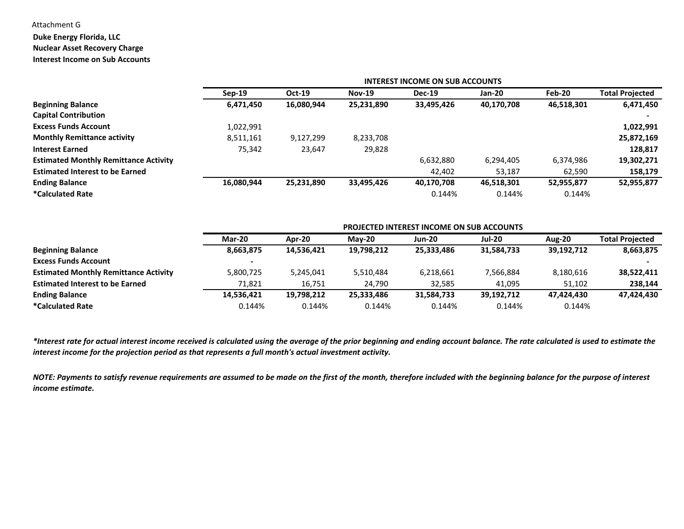# Attachment G

# **Duke Energy Florida, LLC**

## **Nuclear Asset Recovery Charge**

**Interest Income on Sub Accounts**

|                                              |            | <b>INTEREST INCOME ON SUB ACCOUNTS</b> |               |               |            |            |                        |  |  |  |
|----------------------------------------------|------------|----------------------------------------|---------------|---------------|------------|------------|------------------------|--|--|--|
|                                              | $Sep-19$   | $Oct-19$                               | <b>Nov-19</b> | <b>Dec-19</b> | Jan-20     | Feb-20     | <b>Total Projected</b> |  |  |  |
| <b>Beginning Balance</b>                     | 6,471,450  | 16,080,944                             | 25,231,890    | 33,495,426    | 40,170,708 | 46,518,301 | 6,471,450              |  |  |  |
| <b>Capital Contribution</b>                  |            |                                        |               |               |            |            |                        |  |  |  |
| <b>Excess Funds Account</b>                  | 1,022,991  |                                        |               |               |            |            | 1,022,991              |  |  |  |
| <b>Monthly Remittance activity</b>           | 8,511,161  | 9,127,299                              | 8,233,708     |               |            |            | 25,872,169             |  |  |  |
| <b>Interest Earned</b>                       | 75,342     | 23,647                                 | 29,828        |               |            |            | 128,817                |  |  |  |
| <b>Estimated Monthly Remittance Activity</b> |            |                                        |               | 6,632,880     | 6,294,405  | 6,374,986  | 19,302,271             |  |  |  |
| <b>Estimated Interest to be Earned</b>       |            |                                        |               | 42.402        | 53,187     | 62,590     | 158,179                |  |  |  |
| <b>Ending Balance</b>                        | 16,080,944 | 25,231,890                             | 33,495,426    | 40,170,708    | 46,518,301 | 52,955,877 | 52,955,877             |  |  |  |
| <i>*</i> Calculated Rate                     |            |                                        |               | 0.144%        | 0.144%     | 0.144%     |                        |  |  |  |

|                                              |               |            |            | <b>PROJECTED INTEREST INCOME ON SUB ACCOUNTS</b> |               |               |                        |
|----------------------------------------------|---------------|------------|------------|--------------------------------------------------|---------------|---------------|------------------------|
|                                              | <b>Mar-20</b> | Apr-20     | $Mav-20$   | <b>Jun-20</b>                                    | <b>Jul-20</b> | <b>Aug-20</b> | <b>Total Projected</b> |
| <b>Beginning Balance</b>                     | 8,663,875     | 14,536,421 | 19,798,212 | 25.333.486                                       | 31,584,733    | 39,192,712    | 8,663,875              |
| <b>Excess Funds Account</b>                  |               |            |            |                                                  |               |               |                        |
| <b>Estimated Monthly Remittance Activity</b> | 5,800,725     | 5,245,041  | 5,510,484  | 6,218,661                                        | 7,566,884     | 8,180,616     | 38,522,411             |
| <b>Estimated Interest to be Earned</b>       | 71.821        | 16.751     | 24.790     | 32.585                                           | 41.095        | 51.102        | 238,144                |
| <b>Ending Balance</b>                        | 14,536,421    | 19,798,212 | 25,333,486 | 31,584,733                                       | 39,192,712    | 47.424.430    | 47,424,430             |
| *Calculated Rate                             | 0.144%        | 0.144%     | 0.144%     | 0.144%                                           | 0.144%        | 0.144%        |                        |
|                                              |               |            |            |                                                  |               |               |                        |

*\*Interest rate for actual interest income received is calculated using the average of the prior beginning and ending account balance. The rate calculated is used to estimate theinterest income for the projection period as that represents a full month's actual investment activity.*

*NOTE: Payments to satisfy revenue requirements are assumed to be made on the first of the month, therefore included with the beginning balance for the purpose of interest income estimate.*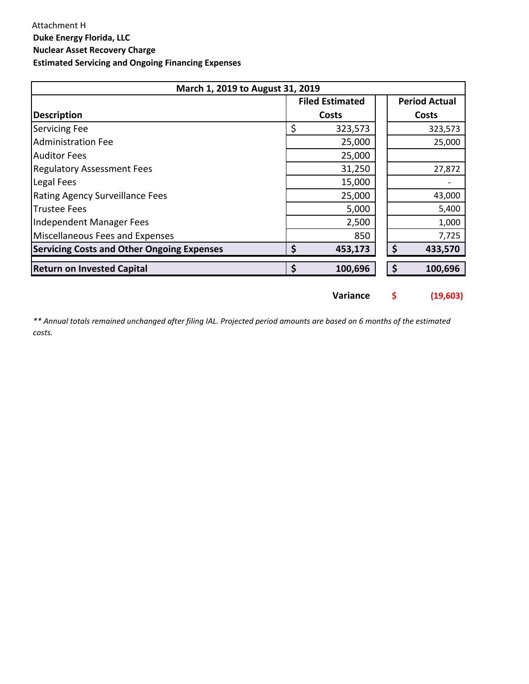| March 1, 2019 to August 31, 2019 |        |                                                                  |                      |  |  |  |  |
|----------------------------------|--------|------------------------------------------------------------------|----------------------|--|--|--|--|
|                                  |        |                                                                  | <b>Period Actual</b> |  |  |  |  |
|                                  |        |                                                                  | <b>Costs</b>         |  |  |  |  |
| \$                               |        |                                                                  | 323,573              |  |  |  |  |
|                                  | 25,000 |                                                                  | 25,000               |  |  |  |  |
|                                  | 25,000 |                                                                  |                      |  |  |  |  |
|                                  | 31,250 |                                                                  | 27,872               |  |  |  |  |
|                                  | 15,000 |                                                                  |                      |  |  |  |  |
|                                  | 25,000 |                                                                  | 43,000               |  |  |  |  |
|                                  | 5,000  |                                                                  | 5,400                |  |  |  |  |
|                                  | 2,500  |                                                                  | 1,000                |  |  |  |  |
|                                  | 850    |                                                                  | 7,725                |  |  |  |  |
| \$                               |        | \$                                                               | 433,570              |  |  |  |  |
|                                  |        | \$                                                               | 100,696              |  |  |  |  |
|                                  |        | <b>Filed Estimated</b><br>Costs<br>323,573<br>453,173<br>100,696 |                      |  |  |  |  |

**Variance \$ (19,603)**

*\*\* Annual totals remained unchanged after filing IAL. Projected period amounts are based on 6 months of the estimated costs.*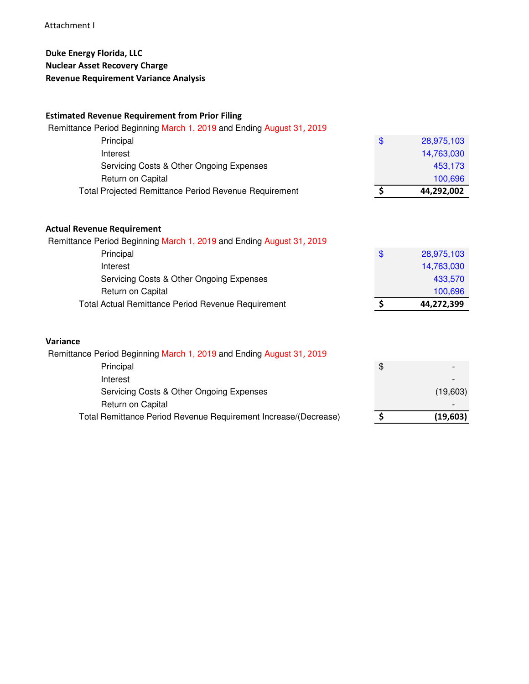# Attachment I

# **Duke Energy Florida, LLC Nuclear Asset Recovery Charge Revenue Requirement Variance Analysis**

# **Estimated Revenue Requirement from Prior Filing**

| \$<br>28,975,103 |
|------------------|
| 14,763,030       |
| 453,173          |
| 100,696          |
| 44,292,002       |
|                  |
|                  |

| Total Actual Remittance Period Revenue Requirement                   | 44,272,399       |
|----------------------------------------------------------------------|------------------|
| Return on Capital                                                    | 100,696          |
| Servicing Costs & Other Ongoing Expenses                             | 433,570          |
| Interest                                                             | 14,763,030       |
| Principal                                                            | \$<br>28,975,103 |
| Remittance Period Beginning March 1, 2019 and Ending August 31, 2019 |                  |

# **Variance**

| Remittance Period Beginning March 1, 2019 and Ending August 31, 2019 |          |
|----------------------------------------------------------------------|----------|
| Principal                                                            | \$       |
| Interest                                                             |          |
| Servicing Costs & Other Ongoing Expenses                             | (19,603) |
| Return on Capital                                                    |          |
| Total Remittance Period Revenue Requirement Increase/(Decrease)      | (19,603) |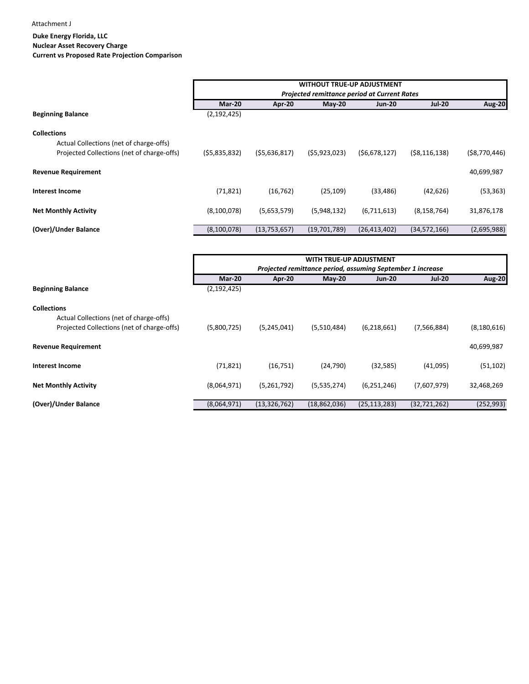Attachment J

# **Duke Energy Florida, LLC Nuclear Asset Recovery Charge Current vs Proposed Rate Projection Comparison**

|                                                                                                             | <b>WITHOUT TRUE-UP ADJUSTMENT</b><br>Projected remittance period at Current Rates |              |              |                |                |                |  |  |  |
|-------------------------------------------------------------------------------------------------------------|-----------------------------------------------------------------------------------|--------------|--------------|----------------|----------------|----------------|--|--|--|
|                                                                                                             | Mar-20                                                                            | Apr-20       | $M$ ay-20    | <b>Jun-20</b>  | <b>Jul-20</b>  | <b>Aug-20</b>  |  |  |  |
| <b>Beginning Balance</b>                                                                                    | (2, 192, 425)                                                                     |              |              |                |                |                |  |  |  |
| <b>Collections</b><br>Actual Collections (net of charge-offs)<br>Projected Collections (net of charge-offs) | (55,835,832)                                                                      | (55,636,817) | (55,923,023) | (56, 678, 127) | ( \$8,116,138) | ( \$8,770,446) |  |  |  |
| <b>Revenue Requirement</b>                                                                                  |                                                                                   |              |              |                |                | 40,699,987     |  |  |  |
| <b>Interest Income</b>                                                                                      | (71, 821)                                                                         | (16, 762)    | (25, 109)    | (33, 486)      | (42, 626)      | (53, 363)      |  |  |  |
| <b>Net Monthly Activity</b>                                                                                 | (8,100,078)                                                                       | (5,653,579)  | (5,948,132)  | (6,711,613)    | (8, 158, 764)  | 31,876,178     |  |  |  |
| (Over)/Under Balance                                                                                        | (8, 100, 078)                                                                     | (13,753,657) | (19,701,789) | (26, 413, 402) | (34, 572, 166) | (2,695,988)    |  |  |  |

|                                            |               |                                                            | <b>WITH TRUE-UP ADJUSTMENT</b> |                |                |               |  |  |  |  |
|--------------------------------------------|---------------|------------------------------------------------------------|--------------------------------|----------------|----------------|---------------|--|--|--|--|
|                                            |               | Projected remittance period, assuming September 1 increase |                                |                |                |               |  |  |  |  |
|                                            | Mar-20        | Apr-20                                                     | $May-20$                       | <b>Jun-20</b>  | <b>Jul-20</b>  | <b>Aug-20</b> |  |  |  |  |
| <b>Beginning Balance</b>                   | (2, 192, 425) |                                                            |                                |                |                |               |  |  |  |  |
| <b>Collections</b>                         |               |                                                            |                                |                |                |               |  |  |  |  |
| Actual Collections (net of charge-offs)    |               |                                                            |                                |                |                |               |  |  |  |  |
| Projected Collections (net of charge-offs) | (5,800,725)   | (5,245,041)                                                | (5,510,484)                    | (6,218,661)    | (7, 566, 884)  | (8, 180, 616) |  |  |  |  |
| <b>Revenue Requirement</b>                 |               |                                                            |                                |                |                | 40,699,987    |  |  |  |  |
| <b>Interest Income</b>                     | (71, 821)     | (16, 751)                                                  | (24,790)                       | (32, 585)      | (41,095)       | (51, 102)     |  |  |  |  |
| <b>Net Monthly Activity</b>                | (8,064,971)   | (5,261,792)                                                | (5,535,274)                    | (6, 251, 246)  | (7,607,979)    | 32,468,269    |  |  |  |  |
| (Over)/Under Balance                       | (8,064,971)   | (13, 326, 762)                                             | (18,862,036)                   | (25, 113, 283) | (32, 721, 262) | (252, 993)    |  |  |  |  |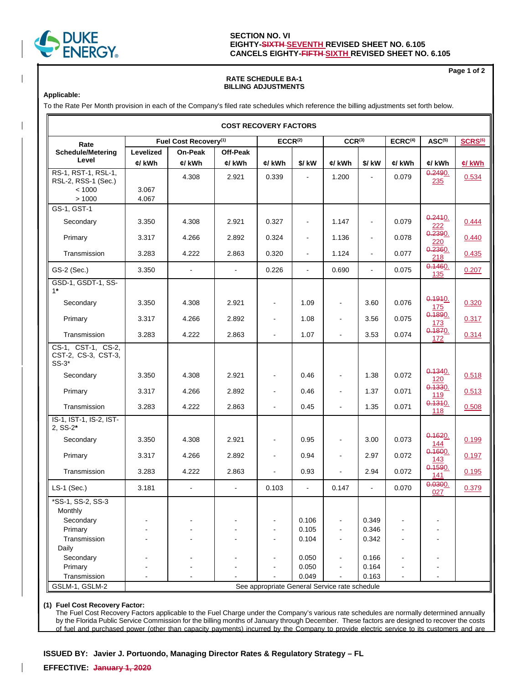

# **SECTION NO. VI EIGHTY-SIXTH SEVENTH REVISED SHEET NO. 6.105 CANCELS EIGHTY-FIFTH SIXTH REVISED SHEET NO. 6.105**

## **RATE SCHEDULE BA-1 BILLING ADJUSTMENTS**

**Applicable:**

To the Rate Per Month provision in each of the Company's filed rate schedules which reference the billing adjustments set forth below.

|                                                      |           |                                   | <b>COST RECOVERY FACTORS</b> |                                               |                          |                          |                |                     |                       |                     |
|------------------------------------------------------|-----------|-----------------------------------|------------------------------|-----------------------------------------------|--------------------------|--------------------------|----------------|---------------------|-----------------------|---------------------|
| Rate                                                 |           | Fuel Cost Recovery <sup>(1)</sup> |                              | ECCR <sup>(2)</sup>                           |                          | CCR <sup>(3)</sup>       |                | ECRC <sup>(4)</sup> | ASC <sup>(5)</sup>    | SCRS <sup>(6)</sup> |
| <b>Schedule/Metering</b>                             | Levelized | <b>On-Peak</b>                    | Off-Peak                     |                                               |                          |                          |                |                     |                       |                     |
| Level                                                | ¢/ kWh    | ¢/ kWh                            | ¢/ kWh                       | ¢/ kWh                                        | \$/ kW                   | ¢/ kWh                   | \$/ kW         | ¢/ kWh              | ¢/ kWh                | c/kWh               |
| RS-1, RST-1, RSL-1,<br>RSL-2, RSS-1 (Sec.)           |           | 4.308                             | 2.921                        | 0.339                                         |                          | 1.200                    |                | 0.079               | 0.2490.<br>235        | 0.534               |
| < 1000                                               | 3.067     |                                   |                              |                                               |                          |                          |                |                     |                       |                     |
| >1000                                                | 4.067     |                                   |                              |                                               |                          |                          |                |                     |                       |                     |
| GS-1, GST-1                                          |           |                                   |                              |                                               |                          |                          |                |                     |                       |                     |
| Secondary                                            | 3.350     | 4.308                             | 2.921                        | 0.327                                         | $\blacksquare$           | 1.147                    | $\blacksquare$ | 0.079               | 0.2410.<br>222        | 0.444               |
| Primary                                              | 3.317     | 4.266                             | 2.892                        | 0.324                                         | $\overline{\phantom{a}}$ | 1.136                    | $\blacksquare$ | 0.078               | 0.2390.<br>220        | 0.440               |
| Transmission                                         | 3.283     | 4.222                             | 2.863                        | 0.320                                         | $\blacksquare$           | 1.124                    | $\blacksquare$ | 0.077               | 0.2360.<br>218        | 0.435               |
| GS-2 (Sec.)                                          | 3.350     | $\mathbf{r}$                      | $\sim$                       | 0.226                                         | $\blacksquare$           | 0.690                    | $\blacksquare$ | 0.075               | 0.1460.<br>135        | 0.207               |
| GSD-1, GSDT-1, SS-<br>$1*$                           |           |                                   |                              |                                               |                          |                          |                |                     |                       |                     |
| Secondary                                            | 3.350     | 4.308                             | 2.921                        |                                               | 1.09                     | $\blacksquare$           | 3.60           | 0.076               | 0.1910.<br>175        | 0.320               |
| Primary                                              | 3.317     | 4.266                             | 2.892                        | $\blacksquare$                                | 1.08                     | $\blacksquare$           | 3.56           | 0.075               | 0.1890.<br>173        | 0.317               |
| Transmission                                         | 3.283     | 4.222                             | 2.863                        |                                               | 1.07                     | $\overline{\phantom{a}}$ | 3.53           | 0.074               | 0.1870.<br>172        | 0.314               |
| CS-1, CST-1, CS-2,<br>CST-2, CS-3, CST-3,<br>$SS-3*$ |           |                                   |                              |                                               |                          |                          |                |                     |                       |                     |
| Secondary                                            | 3.350     | 4.308                             | 2.921                        |                                               | 0.46                     | $\blacksquare$           | 1.38           | 0.072               | 0.1340.<br>120        | 0.518               |
| Primary                                              | 3.317     | 4.266                             | 2.892                        |                                               | 0.46                     | $\blacksquare$           | 1.37           | 0.071               | 0.1330.<br>119        | 0.513               |
| Transmission                                         | 3.283     | 4.222                             | 2.863                        | $\blacksquare$                                | 0.45                     | $\blacksquare$           | 1.35           | 0.071               | 0.1310.<br>118        | 0.508               |
| IS-1, IST-1, IS-2, IST-<br>2, SS-2*                  |           |                                   |                              |                                               |                          |                          |                |                     |                       |                     |
| Secondary                                            | 3.350     | 4.308                             | 2.921                        | $\overline{\phantom{a}}$                      | 0.95                     | $\blacksquare$           | 3.00           | 0.073               | 0.1620.<br><u>144</u> | 0.199               |
| Primary                                              | 3.317     | 4.266                             | 2.892                        | $\blacksquare$                                | 0.94                     | $\blacksquare$           | 2.97           | 0.072               | 0.1600.<br><u>143</u> | 0.197               |
| Transmission                                         | 3.283     | 4.222                             | 2.863                        | $\blacksquare$                                | 0.93                     | $\overline{a}$           | 2.94           | 0.072               | 0.1590.<br>141        | 0.195               |
| $LS-1$ (Sec.)                                        | 3.181     | $\mathbf{r}$                      | $\blacksquare$               | 0.103                                         | ä,                       | 0.147                    | $\blacksquare$ | 0.070               | $0.0300$ .<br>027     | 0.379               |
| *SS-1, SS-2, SS-3<br>Monthly                         |           |                                   |                              |                                               |                          |                          |                |                     |                       |                     |
| Secondary                                            |           |                                   |                              |                                               | 0.106                    | $\overline{a}$           | 0.349          |                     |                       |                     |
| Primary                                              |           |                                   |                              |                                               | 0.105                    | $\blacksquare$           | 0.346          |                     |                       |                     |
| Transmission                                         |           |                                   |                              | $\blacksquare$                                | 0.104                    | $\blacksquare$           | 0.342          | $\blacksquare$      |                       |                     |
| Daily                                                |           |                                   |                              |                                               |                          |                          |                |                     |                       |                     |
| Secondary                                            |           |                                   |                              |                                               | 0.050                    | $\blacksquare$           | 0.166          |                     |                       |                     |
| Primary                                              |           |                                   |                              | $\overline{\phantom{a}}$                      | 0.050                    | $\blacksquare$           | 0.164          |                     |                       |                     |
| Transmission                                         |           |                                   |                              |                                               | 0.049                    |                          | 0.163          | $\overline{a}$      |                       |                     |
| GSLM-1, GSLM-2                                       |           |                                   |                              | See appropriate General Service rate schedule |                          |                          |                |                     |                       |                     |

#### **(1) Fuel Cost Recovery Factor:**

 The Fuel Cost Recovery Factors applicable to the Fuel Charge under the Company's various rate schedules are normally determined annually by the Florida Public Service Commission for the billing months of January through December. These factors are designed to recover the costs of fuel and purchased power (other than capacity payments) incurred by the Company to provide electric service to its customers and are

**ISSUED BY: Javier J. Portuondo, Managing Director Rates & Regulatory Strategy – FL**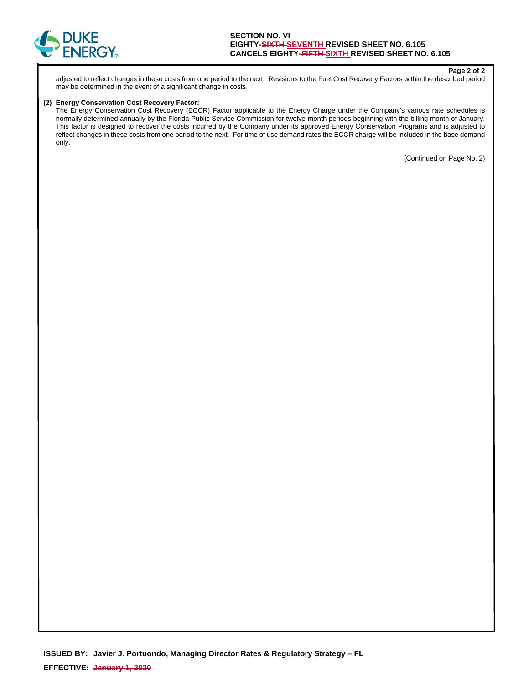

**Page 2 of 2** 

adjusted to reflect changes in these costs from one period to the next. Revisions to the Fuel Cost Recovery Factors within the descr bed period may be determined in the event of a significant change in costs.

#### **(2) Energy Conservation Cost Recovery Factor:**

 The Energy Conservation Cost Recovery (ECCR) Factor applicable to the Energy Charge under the Company's various rate schedules is normally determined annually by the Florida Public Service Commission for twelve-month periods beginning with the billing month of January. This factor is designed to recover the costs incurred by the Company under its approved Energy Conservation Programs and is adjusted to reflect changes in these costs from one period to the next. For time of use demand rates the ECCR charge will be included in the base demand only.

(Continued on Page No. 2)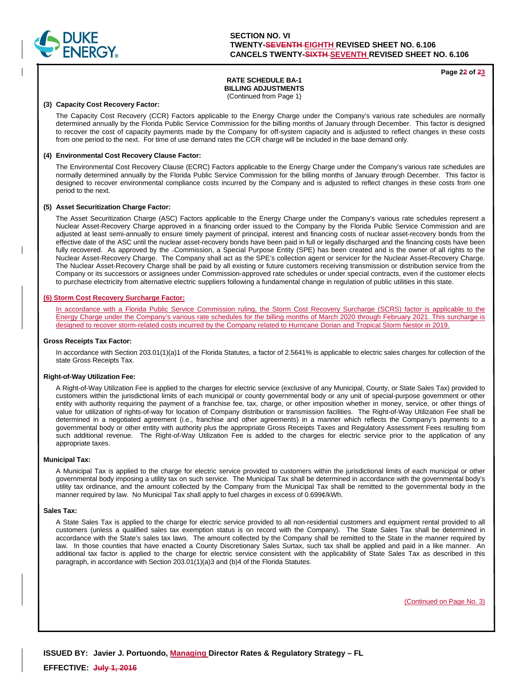

**Page 22 of 23**

# **RATE SCHEDULE BA-1 BILLING ADJUSTMENTS**

(Continued from Page 1)

#### **(3) Capacity Cost Recovery Factor:**

 The Capacity Cost Recovery (CCR) Factors applicable to the Energy Charge under the Company's various rate schedules are normally determined annually by the Florida Public Service Commission for the billing months of January through December. This factor is designed to recover the cost of capacity payments made by the Company for off-system capacity and is adjusted to reflect changes in these costs from one period to the next. For time of use demand rates the CCR charge will be included in the base demand only.

#### **(4) Environmental Cost Recovery Clause Factor:**

 The Environmental Cost Recovery Clause (ECRC) Factors applicable to the Energy Charge under the Company's various rate schedules are normally determined annually by the Florida Public Service Commission for the billing months of January through December. This factor is designed to recover environmental compliance costs incurred by the Company and is adjusted to reflect changes in these costs from one period to the next.

#### **(5) Asset Securitization Charge Factor:**

 The Asset Securitization Charge (ASC) Factors applicable to the Energy Charge under the Company's various rate schedules represent a Nuclear Asset-Recovery Charge approved in a financing order issued to the Company by the Florida Public Service Commission and are adjusted at least semi-annually to ensure timely payment of principal, interest and financing costs of nuclear asset-recovery bonds from the effective date of the ASC until the nuclear asset-recovery bonds have been paid in full or legally discharged and the financing costs have been fully recovered. As approved by the -Commission, a Special Purpose Entity (SPE) has been created and is the owner of all rights to the Nuclear Asset-Recovery Charge. The Company shall act as the SPE's collection agent or servicer for the Nuclear Asset-Recovery Charge. The Nuclear Asset-Recovery Charge shall be paid by all existing or future customers receiving transmission or distribution service from the Company or its successors or assignees under Commission-approved rate schedules or under special contracts, even if the customer elects to purchase electricity from alternative electric suppliers following a fundamental change in regulation of public utilities in this state.

### **(6) Storm Cost Recovery Surcharge Factor:**

In accordance with a Florida Public Service Commission ruling, the Storm Cost Recovery Surcharge (SCRS) factor is applicable to the Energy Charge under the Company's various rate schedules for the billing months of March 2020 through February 2021. This surcharge is designed to recover storm-related costs incurred by the Company related to Hurricane Dorian and Tropical Storm Nestor in 2019.

#### **Gross Receipts Tax Factor:**

 In accordance with Section 203.01(1)(a)1 of the Florida Statutes, a factor of 2.5641% is applicable to electric sales charges for collection of the state Gross Receipts Tax.

#### **Right-of-Way Utilization Fee:**

 A Right-of-Way Utilization Fee is applied to the charges for electric service (exclusive of any Municipal, County, or State Sales Tax) provided to customers within the jurisdictional limits of each municipal or county governmental body or any unit of special-purpose government or other entity with authority requiring the payment of a franchise fee, tax, charge, or other imposition whether in money, service, or other things of value for utilization of rights-of-way for location of Company distribution or transmission facilities. The Right-of-Way Utilization Fee shall be determined in a negotiated agreement (i.e., franchise and other agreements) in a manner which reflects the Company's payments to a governmental body or other entity with authority plus the appropriate Gross Receipts Taxes and Regulatory Assessment Fees resulting from such additional revenue. The Right-of-Way Utilization Fee is added to the charges for electric service prior to the application of any appropriate taxes.

#### **Municipal Tax:**

 A Municipal Tax is applied to the charge for electric service provided to customers within the jurisdictional limits of each municipal or other governmental body imposing a utility tax on such service. The Municipal Tax shall be determined in accordance with the governmental body's utility tax ordinance, and the amount collected by the Company from the Municipal Tax shall be remitted to the governmental body in the manner required by law. No Municipal Tax shall apply to fuel charges in excess of 0.699¢/kWh.

#### **Sales Tax:**

 A State Sales Tax is applied to the charge for electric service provided to all non-residential customers and equipment rental provided to all customers (unless a qualified sales tax exemption status is on record with the Company). The State Sales Tax shall be determined in accordance with the State's sales tax laws. The amount collected by the Company shall be remitted to the State in the manner required by law. In those counties that have enacted a County Discretionary Sales Surtax, such tax shall be applied and paid in a like manner. An additional tax factor is applied to the charge for electric service consistent with the applicability of State Sales Tax as described in this paragraph, in accordance with Section 203.01(1)(a)3 and (b)4 of the Florida Statutes.

(Continued on Page No. 3)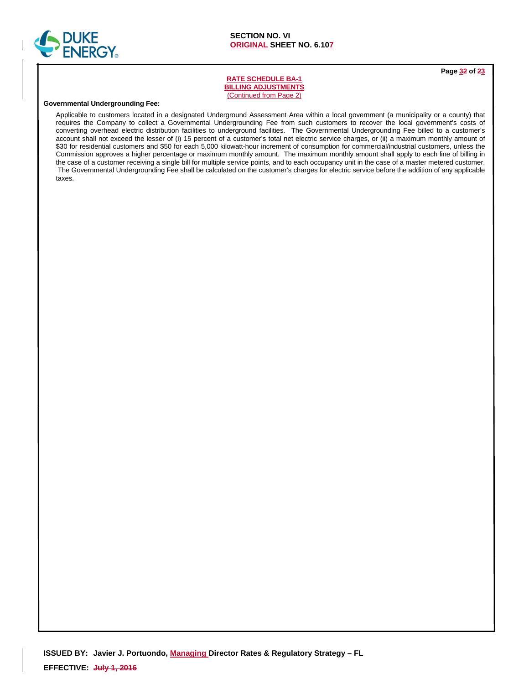

**Page 32 of 23**

## **RATE SCHEDULE BA-1 BILLING ADJUSTMENTS**  (Continued from Page 2)

#### **Governmental Undergrounding Fee:**

 Applicable to customers located in a designated Underground Assessment Area within a local government (a municipality or a county) that requires the Company to collect a Governmental Undergrounding Fee from such customers to recover the local government's costs of converting overhead electric distribution facilities to underground facilities. The Governmental Undergrounding Fee billed to a customer's account shall not exceed the lesser of (i) 15 percent of a customer's total net electric service charges, or (ii) a maximum monthly amount of \$30 for residential customers and \$50 for each 5,000 kilowatt-hour increment of consumption for commercial/industrial customers, unless the Commission approves a higher percentage or maximum monthly amount. The maximum monthly amount shall apply to each line of billing in the case of a customer receiving a single bill for multiple service points, and to each occupancy unit in the case of a master metered customer. The Governmental Undergrounding Fee shall be calculated on the customer's charges for electric service before the addition of any applicable taxes.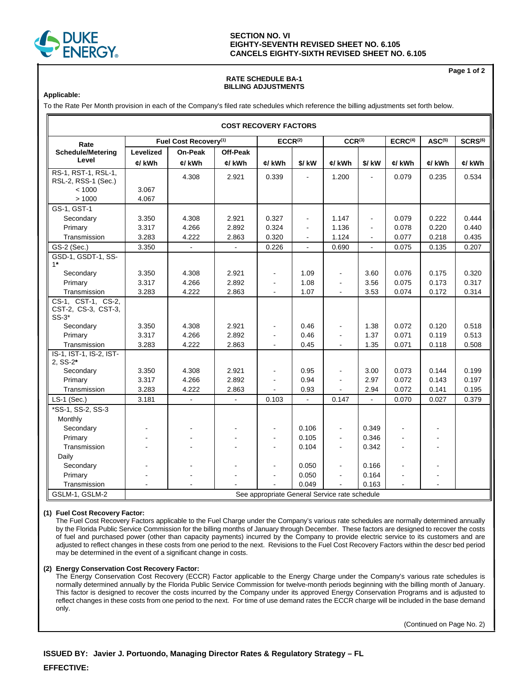

# **SECTION NO. VI EIGHTY-SEVENTH REVISED SHEET NO. 6.105 CANCELS EIGHTY-SIXTH REVISED SHEET NO. 6.105**

## **RATE SCHEDULE BA-1 BILLING ADJUSTMENTS**

**Page 1 of 2** 

### **Applicable:**

To the Rate Per Month provision in each of the Company's filed rate schedules which reference the billing adjustments set forth below.

| <b>COST RECOVERY FACTORS</b>                         |                     |                                   |                    |                                               |                |                    |                |                     |                    |                     |
|------------------------------------------------------|---------------------|-----------------------------------|--------------------|-----------------------------------------------|----------------|--------------------|----------------|---------------------|--------------------|---------------------|
| Rate                                                 |                     | Fuel Cost Recovery <sup>(1)</sup> |                    | ECCR <sup>(2)</sup>                           |                | CCR <sup>(3)</sup> |                | ECRC <sup>(4)</sup> | ASC <sup>(5)</sup> | SCRS <sup>(6)</sup> |
| <b>Schedule/Metering</b><br>Level                    | Levelized<br>¢/ kWh | <b>On-Peak</b><br>¢/ kWh          | Off-Peak<br>¢/ kWh | ¢/ kWh                                        | \$/ kW         | ¢/ kWh             | $$/$ kW        | ¢/ kWh              | ¢/ kWh             | ¢/ kWh              |
| RS-1, RST-1, RSL-1,<br>RSL-2, RSS-1 (Sec.)           |                     | 4.308                             | 2.921              | 0.339                                         |                | 1.200              |                | 0.079               | 0.235              | 0.534               |
| < 1000                                               | 3.067               |                                   |                    |                                               |                |                    |                |                     |                    |                     |
| >1000                                                | 4.067               |                                   |                    |                                               |                |                    |                |                     |                    |                     |
| GS-1, GST-1                                          |                     | 4.308                             | 2.921              | 0.327                                         | ÷,             | 1.147              | $\blacksquare$ | 0.079               | 0.222              | 0.444               |
| Secondary<br>Primary                                 | 3.350<br>3.317      | 4.266                             | 2.892              | 0.324                                         |                | 1.136              |                | 0.078               | 0.220              | 0.440               |
| Transmission                                         | 3.283               | 4.222                             | 2.863              | 0.320                                         | ٠              | 1.124              | $\blacksquare$ | 0.077               | 0.218              | 0.435               |
|                                                      |                     |                                   |                    | 0.226                                         | $\blacksquare$ |                    | $\blacksquare$ |                     |                    | 0.207               |
| GS-2 (Sec.)<br>GSD-1, GSDT-1, SS-                    | 3.350               |                                   |                    |                                               | $\blacksquare$ | 0.690              | $\blacksquare$ | 0.075               | 0.135              |                     |
| $1*$                                                 |                     |                                   |                    |                                               |                |                    |                |                     |                    |                     |
| Secondary                                            | 3.350               | 4.308                             | 2.921              | $\blacksquare$                                | 1.09           | $\blacksquare$     | 3.60           | 0.076               | 0.175              | 0.320               |
| Primary                                              | 3.317               | 4.266                             | 2.892              |                                               | 1.08           | $\blacksquare$     | 3.56           | 0.075               | 0.173              | 0.317               |
| Transmission                                         | 3.283               | 4.222                             | 2.863              |                                               | 1.07           |                    | 3.53           | 0.074               | 0.172              | 0.314               |
| CS-1, CST-1, CS-2,<br>CST-2, CS-3, CST-3,<br>$SS-3*$ |                     |                                   |                    |                                               |                |                    |                |                     |                    |                     |
| Secondary                                            | 3.350               | 4.308                             | 2.921              |                                               | 0.46           | $\overline{a}$     | 1.38           | 0.072               | 0.120              | 0.518               |
| Primary                                              | 3.317               | 4.266                             | 2.892              |                                               | 0.46           | $\blacksquare$     | 1.37           | 0.071               | 0.119              | 0.513               |
| Transmission                                         | 3.283               | 4.222                             | 2.863              | $\blacksquare$                                | 0.45           | $\blacksquare$     | 1.35           | 0.071               | 0.118              | 0.508               |
| IS-1, IST-1, IS-2, IST-<br>2, SS-2*                  |                     |                                   |                    |                                               |                |                    |                |                     |                    |                     |
| Secondary                                            | 3.350               | 4.308                             | 2.921              |                                               | 0.95           | $\overline{a}$     | 3.00           | 0.073               | 0.144              | 0.199               |
| Primary                                              | 3.317               | 4.266                             | 2.892              |                                               | 0.94           |                    | 2.97           | 0.072               | 0.143              | 0.197               |
| Transmission                                         | 3.283               | 4.222                             | 2.863              |                                               | 0.93           |                    | 2.94           | 0.072               | 0.141              | 0.195               |
| LS-1 (Sec.)                                          | 3.181               |                                   |                    | 0.103                                         |                | 0.147              |                | 0.070               | 0.027              | 0.379               |
| *SS-1, SS-2, SS-3                                    |                     |                                   |                    |                                               |                |                    |                |                     |                    |                     |
| Monthly                                              |                     |                                   |                    |                                               |                |                    |                |                     |                    |                     |
| Secondary                                            |                     |                                   |                    |                                               | 0.106          | $\blacksquare$     | 0.349          |                     |                    |                     |
| Primary                                              |                     |                                   |                    |                                               | 0.105          | $\blacksquare$     | 0.346          |                     |                    |                     |
| Transmission                                         |                     |                                   |                    |                                               | 0.104          | $\blacksquare$     | 0.342          |                     |                    |                     |
| Daily                                                |                     |                                   |                    |                                               |                |                    |                |                     |                    |                     |
| Secondary                                            |                     |                                   |                    |                                               | 0.050          | $\overline{a}$     | 0.166          |                     |                    |                     |
| Primary                                              |                     |                                   |                    |                                               | 0.050          | $\blacksquare$     | 0.164          |                     |                    |                     |
| Transmission                                         |                     |                                   |                    |                                               | 0.049          |                    | 0.163          |                     |                    |                     |
| GSLM-1, GSLM-2                                       |                     |                                   |                    | See appropriate General Service rate schedule |                |                    |                |                     |                    |                     |

### **(1) Fuel Cost Recovery Factor:**

The Fuel Cost Recovery Factors applicable to the Fuel Charge under the Company's various rate schedules are normally determined annually by the Florida Public Service Commission for the billing months of January through December. These factors are designed to recover the costs of fuel and purchased power (other than capacity payments) incurred by the Company to provide electric service to its customers and are adjusted to reflect changes in these costs from one period to the next. Revisions to the Fuel Cost Recovery Factors within the descr bed period may be determined in the event of a significant change in costs.

### **(2) Energy Conservation Cost Recovery Factor:**

The Energy Conservation Cost Recovery (ECCR) Factor applicable to the Energy Charge under the Company's various rate schedules is normally determined annually by the Florida Public Service Commission for twelve-month periods beginning with the billing month of January. This factor is designed to recover the costs incurred by the Company under its approved Energy Conservation Programs and is adjusted to reflect changes in these costs from one period to the next. For time of use demand rates the ECCR charge will be included in the base demand only.

(Continued on Page No. 2)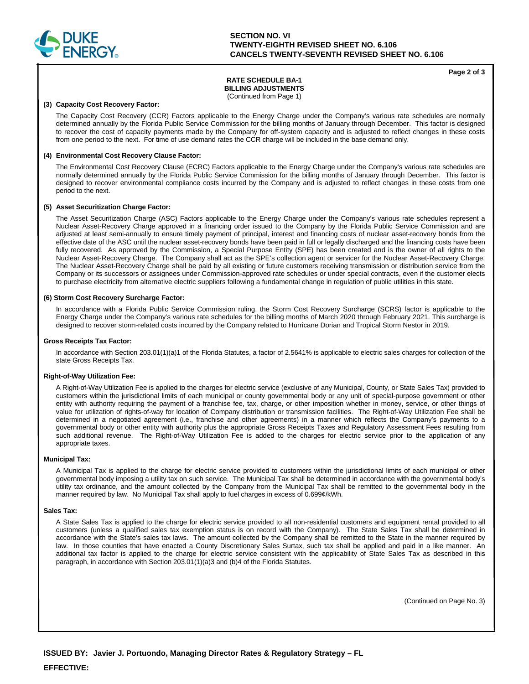

## **SECTION NO. VI TWENTY-EIGHTH REVISED SHEET NO. 6.106 CANCELS TWENTY-SEVENTH REVISED SHEET NO. 6.106**

### **Page 2 of 3**

# **RATE SCHEDULE BA-1 BILLING ADJUSTMENTS**

(Continued from Page 1)

### **(3) Capacity Cost Recovery Factor:**

The Capacity Cost Recovery (CCR) Factors applicable to the Energy Charge under the Company's various rate schedules are normally determined annually by the Florida Public Service Commission for the billing months of January through December. This factor is designed to recover the cost of capacity payments made by the Company for off-system capacity and is adjusted to reflect changes in these costs from one period to the next. For time of use demand rates the CCR charge will be included in the base demand only.

### **(4) Environmental Cost Recovery Clause Factor:**

The Environmental Cost Recovery Clause (ECRC) Factors applicable to the Energy Charge under the Company's various rate schedules are normally determined annually by the Florida Public Service Commission for the billing months of January through December. This factor is designed to recover environmental compliance costs incurred by the Company and is adjusted to reflect changes in these costs from one period to the next.

#### **(5) Asset Securitization Charge Factor:**

The Asset Securitization Charge (ASC) Factors applicable to the Energy Charge under the Company's various rate schedules represent a Nuclear Asset-Recovery Charge approved in a financing order issued to the Company by the Florida Public Service Commission and are adjusted at least semi-annually to ensure timely payment of principal, interest and financing costs of nuclear asset-recovery bonds from the effective date of the ASC until the nuclear asset-recovery bonds have been paid in full or legally discharged and the financing costs have been fully recovered. As approved by the Commission, a Special Purpose Entity (SPE) has been created and is the owner of all rights to the Nuclear Asset-Recovery Charge. The Company shall act as the SPE's collection agent or servicer for the Nuclear Asset-Recovery Charge. The Nuclear Asset-Recovery Charge shall be paid by all existing or future customers receiving transmission or distribution service from the Company or its successors or assignees under Commission-approved rate schedules or under special contracts, even if the customer elects to purchase electricity from alternative electric suppliers following a fundamental change in regulation of public utilities in this state.

#### **(6) Storm Cost Recovery Surcharge Factor:**

In accordance with a Florida Public Service Commission ruling, the Storm Cost Recovery Surcharge (SCRS) factor is applicable to the Energy Charge under the Company's various rate schedules for the billing months of March 2020 through February 2021. This surcharge is designed to recover storm-related costs incurred by the Company related to Hurricane Dorian and Tropical Storm Nestor in 2019.

#### **Gross Receipts Tax Factor:**

In accordance with Section 203.01(1)(a)1 of the Florida Statutes, a factor of 2.5641% is applicable to electric sales charges for collection of the state Gross Receipts Tax.

#### **Right-of-Way Utilization Fee:**

A Right-of-Way Utilization Fee is applied to the charges for electric service (exclusive of any Municipal, County, or State Sales Tax) provided to customers within the jurisdictional limits of each municipal or county governmental body or any unit of special-purpose government or other entity with authority requiring the payment of a franchise fee, tax, charge, or other imposition whether in money, service, or other things of value for utilization of rights-of-way for location of Company distribution or transmission facilities. The Right-of-Way Utilization Fee shall be determined in a negotiated agreement (i.e., franchise and other agreements) in a manner which reflects the Company's payments to a governmental body or other entity with authority plus the appropriate Gross Receipts Taxes and Regulatory Assessment Fees resulting from such additional revenue. The Right-of-Way Utilization Fee is added to the charges for electric service prior to the application of any appropriate taxes.

#### **Municipal Tax:**

A Municipal Tax is applied to the charge for electric service provided to customers within the jurisdictional limits of each municipal or other governmental body imposing a utility tax on such service. The Municipal Tax shall be determined in accordance with the governmental body's utility tax ordinance, and the amount collected by the Company from the Municipal Tax shall be remitted to the governmental body in the manner required by law. No Municipal Tax shall apply to fuel charges in excess of 0.699¢/kWh.

#### **Sales Tax:**

A State Sales Tax is applied to the charge for electric service provided to all non-residential customers and equipment rental provided to all customers (unless a qualified sales tax exemption status is on record with the Company). The State Sales Tax shall be determined in accordance with the State's sales tax laws. The amount collected by the Company shall be remitted to the State in the manner required by law. In those counties that have enacted a County Discretionary Sales Surtax, such tax shall be applied and paid in a like manner. An additional tax factor is applied to the charge for electric service consistent with the applicability of State Sales Tax as described in this paragraph, in accordance with Section 203.01(1)(a)3 and (b)4 of the Florida Statutes.

(Continued on Page No. 3)